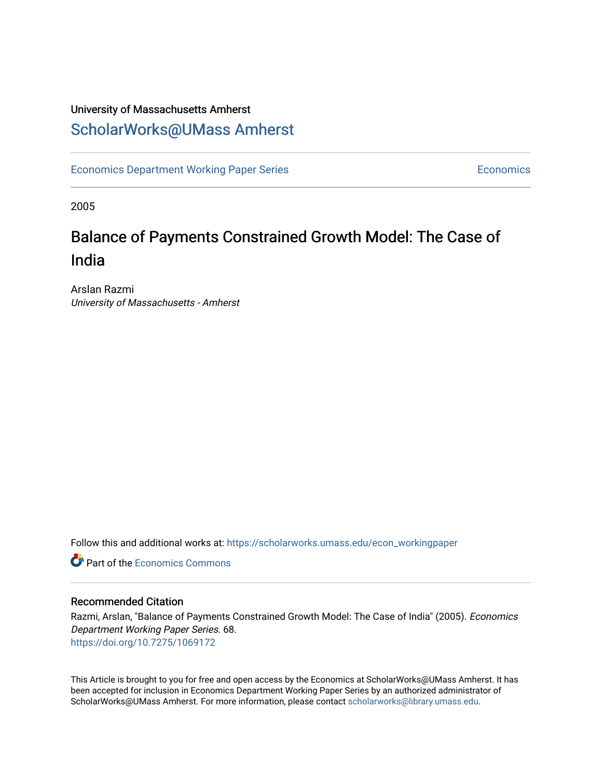### University of Massachusetts Amherst [ScholarWorks@UMass Amherst](https://scholarworks.umass.edu/)

[Economics Department Working Paper Series](https://scholarworks.umass.edu/econ_workingpaper) **Economics** Economics

2005

## Balance of Payments Constrained Growth Model: The Case of India

Arslan Razmi University of Massachusetts - Amherst

Follow this and additional works at: [https://scholarworks.umass.edu/econ\\_workingpaper](https://scholarworks.umass.edu/econ_workingpaper?utm_source=scholarworks.umass.edu%2Fecon_workingpaper%2F68&utm_medium=PDF&utm_campaign=PDFCoverPages) 

**C** Part of the [Economics Commons](http://network.bepress.com/hgg/discipline/340?utm_source=scholarworks.umass.edu%2Fecon_workingpaper%2F68&utm_medium=PDF&utm_campaign=PDFCoverPages)

#### Recommended Citation

Razmi, Arslan, "Balance of Payments Constrained Growth Model: The Case of India" (2005). Economics Department Working Paper Series. 68. <https://doi.org/10.7275/1069172>

This Article is brought to you for free and open access by the Economics at ScholarWorks@UMass Amherst. It has been accepted for inclusion in Economics Department Working Paper Series by an authorized administrator of ScholarWorks@UMass Amherst. For more information, please contact [scholarworks@library.umass.edu.](mailto:scholarworks@library.umass.edu)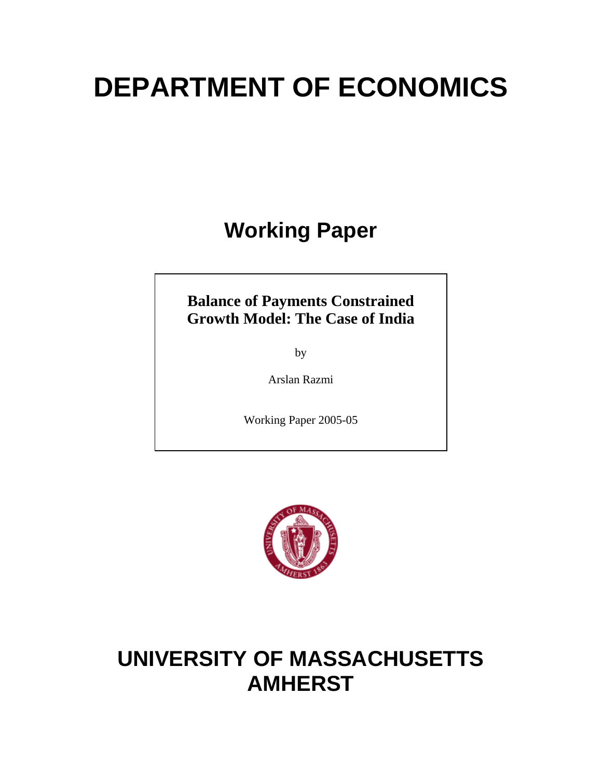# **DEPARTMENT OF ECONOMICS**

## **Working Paper**

### **Balance of Payments Constrained Growth Model: The Case of India**

by

Arslan Razmi

Working Paper 2005-05



## **UNIVERSITY OF MASSACHUSETTS AMHERST**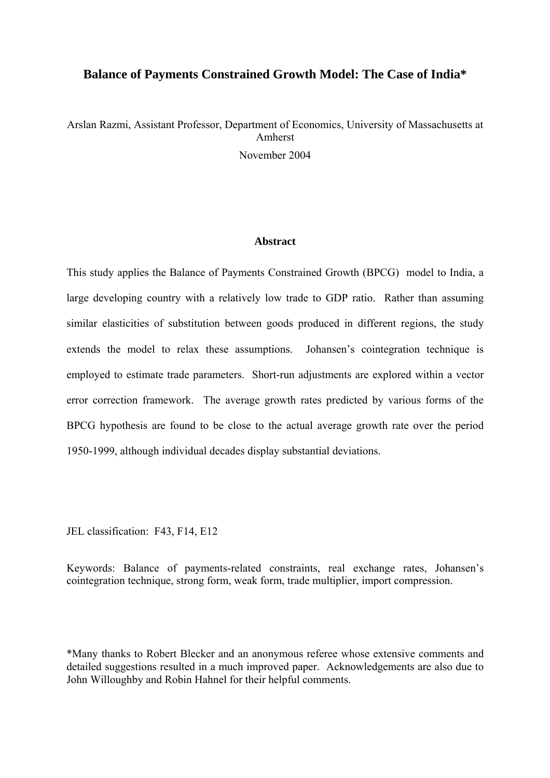#### **Balance of Payments Constrained Growth Model: The Case of India\***

## Arslan Razmi, Assistant Professor, Department of Economics, University of Massachusetts at Amherst

November 2004

#### **Abstract**

This study applies the Balance of Payments Constrained Growth (BPCG) model to India, a large developing country with a relatively low trade to GDP ratio. Rather than assuming similar elasticities of substitution between goods produced in different regions, the study extends the model to relax these assumptions. Johansen's cointegration technique is employed to estimate trade parameters. Short-run adjustments are explored within a vector error correction framework. The average growth rates predicted by various forms of the BPCG hypothesis are found to be close to the actual average growth rate over the period 1950-1999, although individual decades display substantial deviations.

JEL classification: F43, F14, E12

Keywords: Balance of payments-related constraints, real exchange rates, Johansen's cointegration technique, strong form, weak form, trade multiplier, import compression.

\*Many thanks to Robert Blecker and an anonymous referee whose extensive comments and detailed suggestions resulted in a much improved paper. Acknowledgements are also due to John Willoughby and Robin Hahnel for their helpful comments.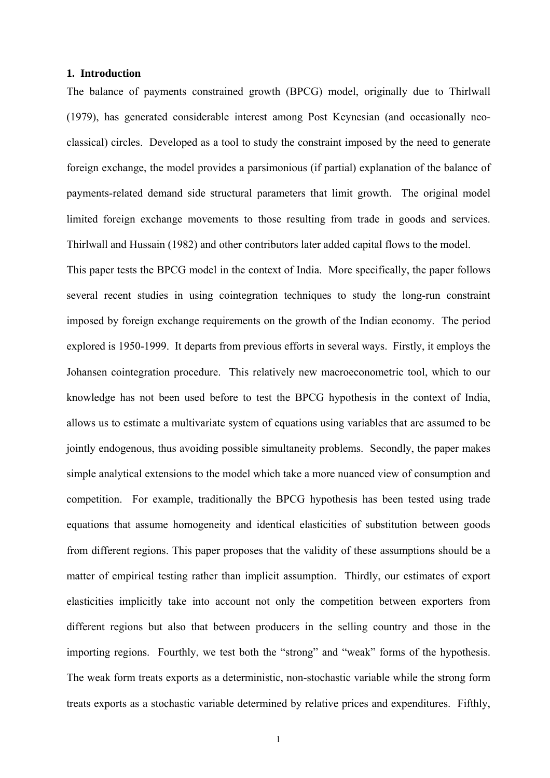#### **1. Introduction**

The balance of payments constrained growth (BPCG) model, originally due to Thirlwall (1979), has generated considerable interest among Post Keynesian (and occasionally neoclassical) circles. Developed as a tool to study the constraint imposed by the need to generate foreign exchange, the model provides a parsimonious (if partial) explanation of the balance of payments-related demand side structural parameters that limit growth. The original model limited foreign exchange movements to those resulting from trade in goods and services. Thirlwall and Hussain (1982) and other contributors later added capital flows to the model.

This paper tests the BPCG model in the context of India. More specifically, the paper follows several recent studies in using cointegration techniques to study the long-run constraint imposed by foreign exchange requirements on the growth of the Indian economy. The period explored is 1950-1999. It departs from previous efforts in several ways. Firstly, it employs the Johansen cointegration procedure. This relatively new macroeconometric tool, which to our knowledge has not been used before to test the BPCG hypothesis in the context of India, allows us to estimate a multivariate system of equations using variables that are assumed to be jointly endogenous, thus avoiding possible simultaneity problems. Secondly, the paper makes simple analytical extensions to the model which take a more nuanced view of consumption and competition. For example, traditionally the BPCG hypothesis has been tested using trade equations that assume homogeneity and identical elasticities of substitution between goods from different regions. This paper proposes that the validity of these assumptions should be a matter of empirical testing rather than implicit assumption. Thirdly, our estimates of export elasticities implicitly take into account not only the competition between exporters from different regions but also that between producers in the selling country and those in the importing regions. Fourthly, we test both the "strong" and "weak" forms of the hypothesis. The weak form treats exports as a deterministic, non-stochastic variable while the strong form treats exports as a stochastic variable determined by relative prices and expenditures. Fifthly,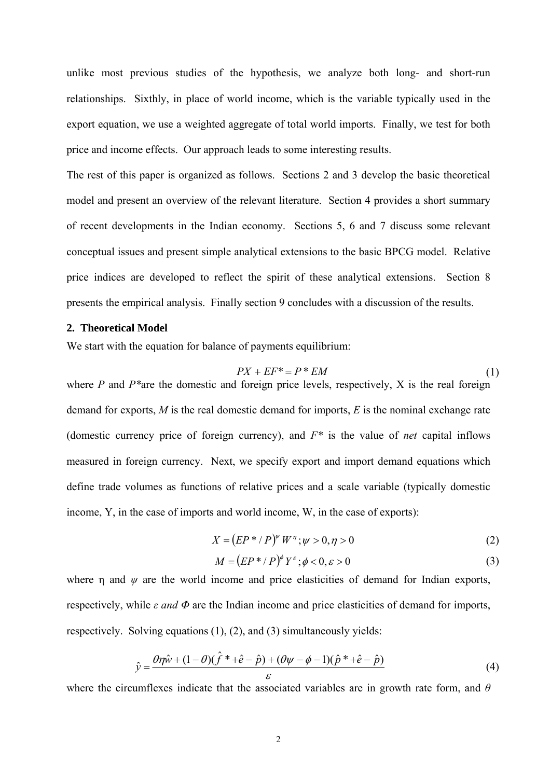unlike most previous studies of the hypothesis, we analyze both long- and short-run relationships. Sixthly, in place of world income, which is the variable typically used in the export equation, we use a weighted aggregate of total world imports. Finally, we test for both price and income effects. Our approach leads to some interesting results.

The rest of this paper is organized as follows. Sections 2 and 3 develop the basic theoretical model and present an overview of the relevant literature. Section 4 provides a short summary of recent developments in the Indian economy. Sections 5, 6 and 7 discuss some relevant conceptual issues and present simple analytical extensions to the basic BPCG model. Relative price indices are developed to reflect the spirit of these analytical extensions. Section 8 presents the empirical analysis. Finally section 9 concludes with a discussion of the results.

#### **2. Theoretical Model**

We start with the equation for balance of payments equilibrium:

$$
PX + EF^* = P^*EM \tag{1}
$$

where *P* and *P\**are the domestic and foreign price levels, respectively, X is the real foreign demand for exports, *M* is the real domestic demand for imports, *E* is the nominal exchange rate (domestic currency price of foreign currency), and *F\** is the value of *net* capital inflows measured in foreign currency. Next, we specify export and import demand equations which define trade volumes as functions of relative prices and a scale variable (typically domestic income, Y, in the case of imports and world income, W, in the case of exports):

$$
X = (EP^* / P)^{w} W^{\eta}; w > 0, \eta > 0
$$
\n(2)

$$
M = (EP^* / P)^{\phi} Y^{\varepsilon}; \phi < 0, \varepsilon > 0
$$
\n<sup>(3)</sup>

where  $\eta$  and  $\psi$  are the world income and price elasticities of demand for Indian exports, respectively, while *ε and Φ* are the Indian income and price elasticities of demand for imports, respectively. Solving equations (1), (2), and (3) simultaneously yields:

$$
\hat{y} = \frac{\theta \eta \hat{w} + (1 - \theta)(\hat{f}^* + \hat{e} - \hat{p}) + (\theta \psi - \phi - 1)(\hat{p}^* + \hat{e} - \hat{p})}{\varepsilon} \tag{4}
$$

where the circumflexes indicate that the associated variables are in growth rate form, and *θ*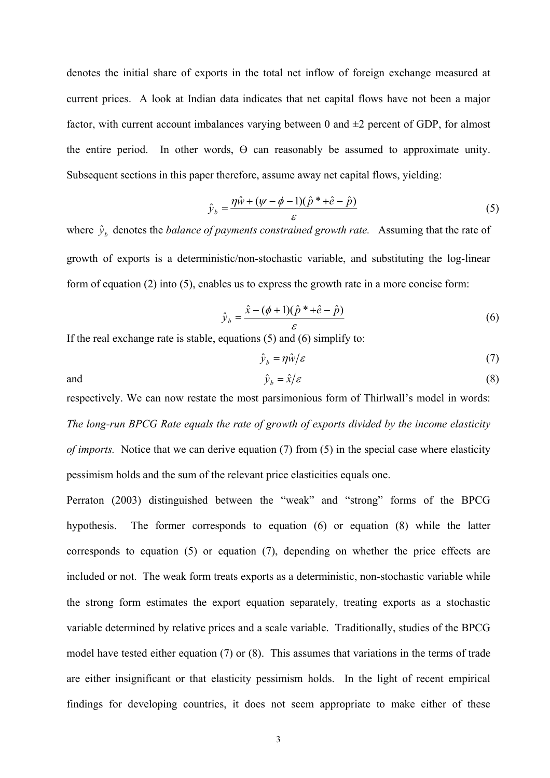denotes the initial share of exports in the total net inflow of foreign exchange measured at current prices. A look at Indian data indicates that net capital flows have not been a major factor, with current account imbalances varying between 0 and  $\pm 2$  percent of GDP, for almost the entire period. In other words,  $\Theta$  can reasonably be assumed to approximate unity. Subsequent sections in this paper therefore, assume away net capital flows, yielding:

$$
\hat{y}_b = \frac{\eta \hat{w} + (\psi - \phi - 1)(\hat{p}^* + \hat{e} - \hat{p})}{\varepsilon} \tag{5}
$$

where  $\hat{y}_b$  denotes the *balance of payments constrained growth rate.* Assuming that the rate of growth of exports is a deterministic/non-stochastic variable, and substituting the log-linear form of equation (2) into (5), enables us to express the growth rate in a more concise form:

$$
\hat{y}_b = \frac{\hat{x} - (\phi + 1)(\hat{p}^* + \hat{e} - \hat{p})}{\varepsilon} \tag{6}
$$

If the real exchange rate is stable, equations (5) and (6) simplify to:

$$
\hat{\mathbf{y}}_b = \eta \hat{\mathbf{w}}/\varepsilon \tag{7}
$$

and  $\hat{y}_b = \hat{x}/\varepsilon$  (8)

respectively. We can now restate the most parsimonious form of Thirlwall's model in words: *The long-run BPCG Rate equals the rate of growth of exports divided by the income elasticity of imports.* Notice that we can derive equation (7) from (5) in the special case where elasticity pessimism holds and the sum of the relevant price elasticities equals one.

Perraton (2003) distinguished between the "weak" and "strong" forms of the BPCG hypothesis. The former corresponds to equation (6) or equation (8) while the latter corresponds to equation (5) or equation (7), depending on whether the price effects are included or not. The weak form treats exports as a deterministic, non-stochastic variable while the strong form estimates the export equation separately, treating exports as a stochastic variable determined by relative prices and a scale variable. Traditionally, studies of the BPCG model have tested either equation (7) or (8). This assumes that variations in the terms of trade are either insignificant or that elasticity pessimism holds. In the light of recent empirical findings for developing countries, it does not seem appropriate to make either of these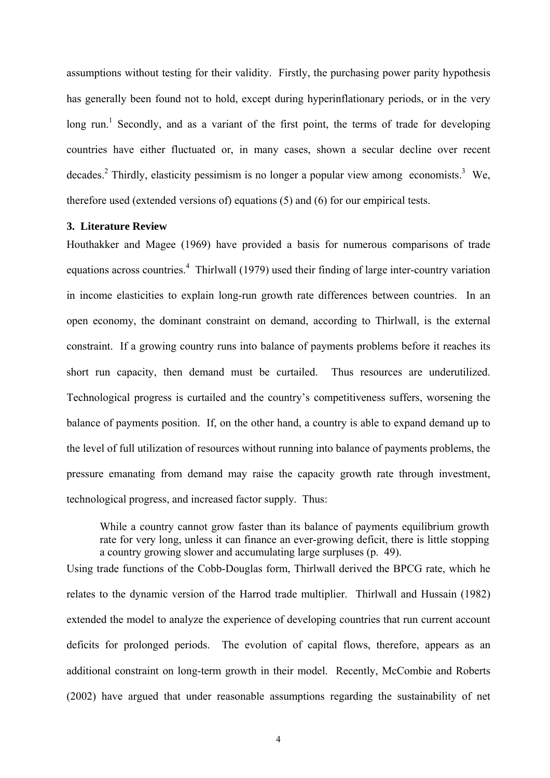assumptions without testing for their validity. Firstly, the purchasing power parity hypothesis has generally been found not to hold, except during hyperinflationary periods, or in the very long run.<sup>1</sup> Secondly, and as a variant of the first point, the terms of trade for developing countries have either fluctuated or, in many cases, shown a secular decline over recent decades.<sup>2</sup> Thirdly, elasticity pessimism is no longer a popular view among economists.<sup>3</sup> We, therefore used (extended versions of) equations (5) and (6) for our empirical tests.

#### **3. Literature Review**

Houthakker and Magee (1969) have provided a basis for numerous comparisons of trade equations across countries.<sup>4</sup> Thirlwall (1979) used their finding of large inter-country variation in income elasticities to explain long-run growth rate differences between countries. In an open economy, the dominant constraint on demand, according to Thirlwall, is the external constraint. If a growing country runs into balance of payments problems before it reaches its short run capacity, then demand must be curtailed. Thus resources are underutilized. Technological progress is curtailed and the country's competitiveness suffers, worsening the balance of payments position. If, on the other hand, a country is able to expand demand up to the level of full utilization of resources without running into balance of payments problems, the pressure emanating from demand may raise the capacity growth rate through investment, technological progress, and increased factor supply. Thus:

While a country cannot grow faster than its balance of payments equilibrium growth rate for very long, unless it can finance an ever-growing deficit, there is little stopping a country growing slower and accumulating large surpluses (p. 49).

Using trade functions of the Cobb-Douglas form, Thirlwall derived the BPCG rate, which he relates to the dynamic version of the Harrod trade multiplier. Thirlwall and Hussain (1982) extended the model to analyze the experience of developing countries that run current account deficits for prolonged periods. The evolution of capital flows, therefore, appears as an additional constraint on long-term growth in their model. Recently, McCombie and Roberts (2002) have argued that under reasonable assumptions regarding the sustainability of net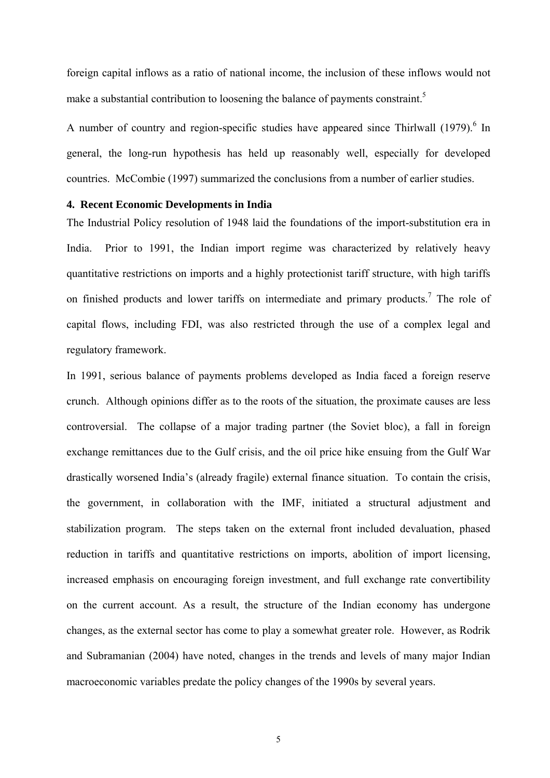foreign capital inflows as a ratio of national income, the inclusion of these inflows would not make a substantial contribution to loosening the balance of payments constraint.<sup>5</sup>

A number of country and region-specific studies have appeared since Thirlwall (1979).<sup>6</sup> In general, the long-run hypothesis has held up reasonably well, especially for developed countries. McCombie (1997) summarized the conclusions from a number of earlier studies.

#### **4. Recent Economic Developments in India**

The Industrial Policy resolution of 1948 laid the foundations of the import-substitution era in India. Prior to 1991, the Indian import regime was characterized by relatively heavy quantitative restrictions on imports and a highly protectionist tariff structure, with high tariffs on finished products and lower tariffs on intermediate and primary products.<sup>7</sup> The role of capital flows, including FDI, was also restricted through the use of a complex legal and regulatory framework.

In 1991, serious balance of payments problems developed as India faced a foreign reserve crunch. Although opinions differ as to the roots of the situation, the proximate causes are less controversial. The collapse of a major trading partner (the Soviet bloc), a fall in foreign exchange remittances due to the Gulf crisis, and the oil price hike ensuing from the Gulf War drastically worsened India's (already fragile) external finance situation. To contain the crisis, the government, in collaboration with the IMF, initiated a structural adjustment and stabilization program. The steps taken on the external front included devaluation, phased reduction in tariffs and quantitative restrictions on imports, abolition of import licensing, increased emphasis on encouraging foreign investment, and full exchange rate convertibility on the current account. As a result, the structure of the Indian economy has undergone changes, as the external sector has come to play a somewhat greater role. However, as Rodrik and Subramanian (2004) have noted, changes in the trends and levels of many major Indian macroeconomic variables predate the policy changes of the 1990s by several years.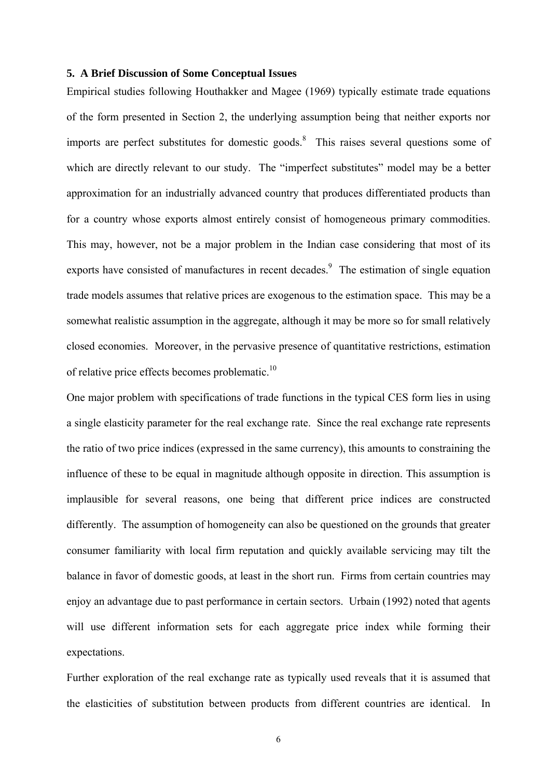#### **5. A Brief Discussion of Some Conceptual Issues**

Empirical studies following Houthakker and Magee (1969) typically estimate trade equations of the form presented in Section 2, the underlying assumption being that neither exports nor imports are perfect substitutes for domestic goods.<sup>8</sup> This raises several questions some of which are directly relevant to our study. The "imperfect substitutes" model may be a better approximation for an industrially advanced country that produces differentiated products than for a country whose exports almost entirely consist of homogeneous primary commodities. This may, however, not be a major problem in the Indian case considering that most of its exports have consisted of manufactures in recent decades.<sup>9</sup> The estimation of single equation trade models assumes that relative prices are exogenous to the estimation space. This may be a somewhat realistic assumption in the aggregate, although it may be more so for small relatively closed economies. Moreover, in the pervasive presence of quantitative restrictions, estimation of relative price effects becomes problematic.<sup>10</sup>

One major problem with specifications of trade functions in the typical CES form lies in using a single elasticity parameter for the real exchange rate. Since the real exchange rate represents the ratio of two price indices (expressed in the same currency), this amounts to constraining the influence of these to be equal in magnitude although opposite in direction. This assumption is implausible for several reasons, one being that different price indices are constructed differently. The assumption of homogeneity can also be questioned on the grounds that greater consumer familiarity with local firm reputation and quickly available servicing may tilt the balance in favor of domestic goods, at least in the short run. Firms from certain countries may enjoy an advantage due to past performance in certain sectors. Urbain (1992) noted that agents will use different information sets for each aggregate price index while forming their expectations.

Further exploration of the real exchange rate as typically used reveals that it is assumed that the elasticities of substitution between products from different countries are identical. In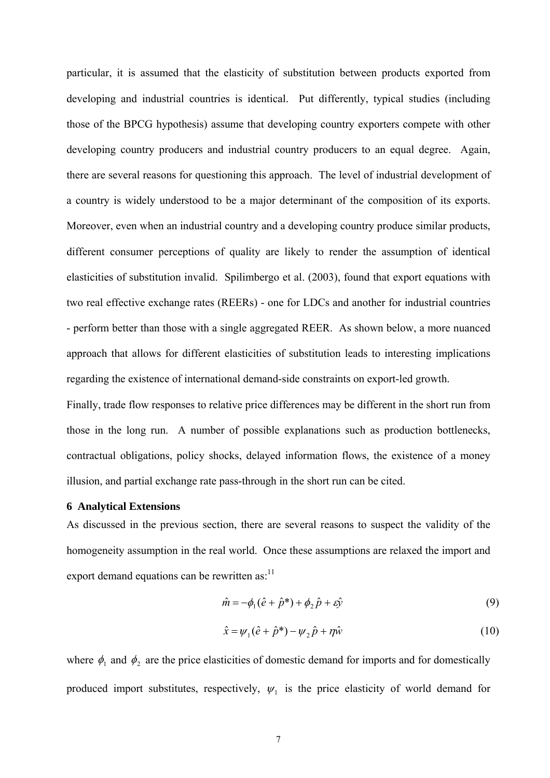particular, it is assumed that the elasticity of substitution between products exported from developing and industrial countries is identical. Put differently, typical studies (including those of the BPCG hypothesis) assume that developing country exporters compete with other developing country producers and industrial country producers to an equal degree. Again, there are several reasons for questioning this approach. The level of industrial development of a country is widely understood to be a major determinant of the composition of its exports. Moreover, even when an industrial country and a developing country produce similar products, different consumer perceptions of quality are likely to render the assumption of identical elasticities of substitution invalid. Spilimbergo et al. (2003), found that export equations with two real effective exchange rates (REERs) - one for LDCs and another for industrial countries - perform better than those with a single aggregated REER. As shown below, a more nuanced approach that allows for different elasticities of substitution leads to interesting implications regarding the existence of international demand-side constraints on export-led growth.

Finally, trade flow responses to relative price differences may be different in the short run from those in the long run. A number of possible explanations such as production bottlenecks, contractual obligations, policy shocks, delayed information flows, the existence of a money illusion, and partial exchange rate pass-through in the short run can be cited.

#### **6 Analytical Extensions**

As discussed in the previous section, there are several reasons to suspect the validity of the homogeneity assumption in the real world. Once these assumptions are relaxed the import and export demand equations can be rewritten as: $11$ 

$$
\hat{m} = -\phi_1(\hat{e} + \hat{p}^*) + \phi_2 \hat{p} + \varepsilon \hat{y}
$$
\n(9)

$$
\hat{x} = \psi_1(\hat{e} + \hat{p}^*) - \psi_2 \hat{p} + \eta \hat{w}
$$
\n(10)

where  $\phi_1$  and  $\phi_2$  are the price elasticities of domestic demand for imports and for domestically produced import substitutes, respectively,  $\psi_1$  is the price elasticity of world demand for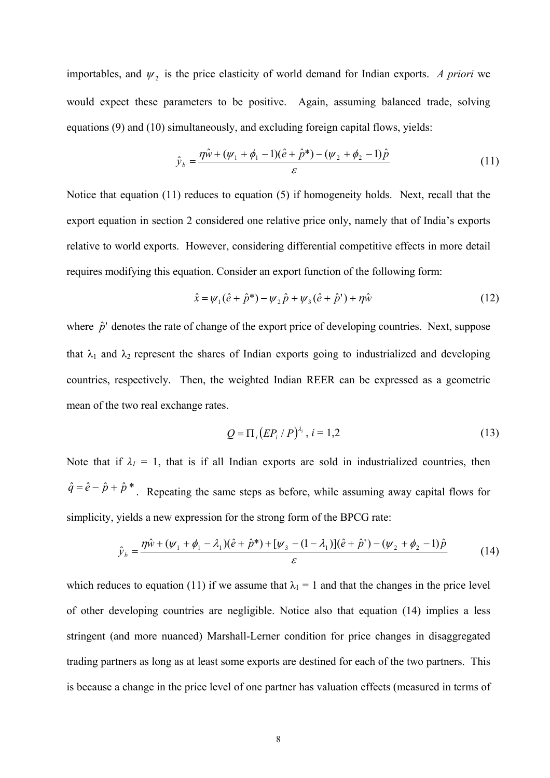importables, and  $\psi_2$  is the price elasticity of world demand for Indian exports. *A priori* we would expect these parameters to be positive. Again, assuming balanced trade, solving equations (9) and (10) simultaneously, and excluding foreign capital flows, yields:

$$
\hat{y}_b = \frac{\eta \hat{w} + (\psi_1 + \phi_1 - 1)(\hat{e} + \hat{p}^*) - (\psi_2 + \phi_2 - 1)\hat{p}}{\varepsilon} \tag{11}
$$

Notice that equation (11) reduces to equation (5) if homogeneity holds. Next, recall that the export equation in section 2 considered one relative price only, namely that of India's exports relative to world exports. However, considering differential competitive effects in more detail requires modifying this equation. Consider an export function of the following form:

$$
\hat{x} = \psi_1(\hat{e} + \hat{p}^*) - \psi_2 \hat{p} + \psi_3(\hat{e} + \hat{p}^*) + \eta \hat{w}
$$
\n(12)

where  $\hat{p}^{\prime}$  denotes the rate of change of the export price of developing countries. Next, suppose that  $\lambda_1$  and  $\lambda_2$  represent the shares of Indian exports going to industrialized and developing countries, respectively. Then, the weighted Indian REER can be expressed as a geometric mean of the two real exchange rates.

$$
Q = \Pi_i (E P_i / P)^{\lambda_i}, i = 1, 2
$$
 (13)

Note that if  $\lambda_1 = 1$ , that is if all Indian exports are sold in industrialized countries, then  $\hat{q} = \hat{e} - \hat{p} + \hat{p}^*$ . Repeating the same steps as before, while assuming away capital flows for simplicity, yields a new expression for the strong form of the BPCG rate:

$$
\hat{y}_b = \frac{\eta \hat{w} + (\psi_1 + \phi_1 - \lambda_1)(\hat{e} + \hat{p}^*) + [\psi_3 - (1 - \lambda_1)](\hat{e} + \hat{p}^*) - (\psi_2 + \phi_2 - 1)\hat{p}}{\varepsilon}
$$
(14)

which reduces to equation (11) if we assume that  $\lambda_1 = 1$  and that the changes in the price level of other developing countries are negligible. Notice also that equation (14) implies a less stringent (and more nuanced) Marshall-Lerner condition for price changes in disaggregated trading partners as long as at least some exports are destined for each of the two partners. This is because a change in the price level of one partner has valuation effects (measured in terms of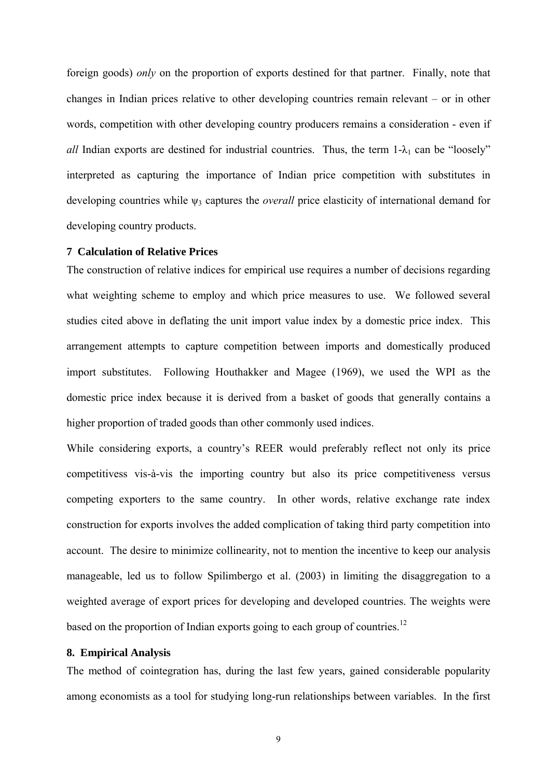foreign goods) *only* on the proportion of exports destined for that partner. Finally, note that changes in Indian prices relative to other developing countries remain relevant – or in other words, competition with other developing country producers remains a consideration - even if *all* Indian exports are destined for industrial countries. Thus, the term  $1-\lambda_1$  can be "loosely" interpreted as capturing the importance of Indian price competition with substitutes in developing countries while ψ<sub>3</sub> captures the *overall* price elasticity of international demand for developing country products.

#### **7 Calculation of Relative Prices**

The construction of relative indices for empirical use requires a number of decisions regarding what weighting scheme to employ and which price measures to use. We followed several studies cited above in deflating the unit import value index by a domestic price index. This arrangement attempts to capture competition between imports and domestically produced import substitutes. Following Houthakker and Magee (1969), we used the WPI as the domestic price index because it is derived from a basket of goods that generally contains a higher proportion of traded goods than other commonly used indices.

While considering exports, a country's REER would preferably reflect not only its price competitivess vis-à-vis the importing country but also its price competitiveness versus competing exporters to the same country. In other words, relative exchange rate index construction for exports involves the added complication of taking third party competition into account. The desire to minimize collinearity, not to mention the incentive to keep our analysis manageable, led us to follow Spilimbergo et al. (2003) in limiting the disaggregation to a weighted average of export prices for developing and developed countries. The weights were based on the proportion of Indian exports going to each group of countries.<sup>12</sup>

#### **8. Empirical Analysis**

The method of cointegration has, during the last few years, gained considerable popularity among economists as a tool for studying long-run relationships between variables. In the first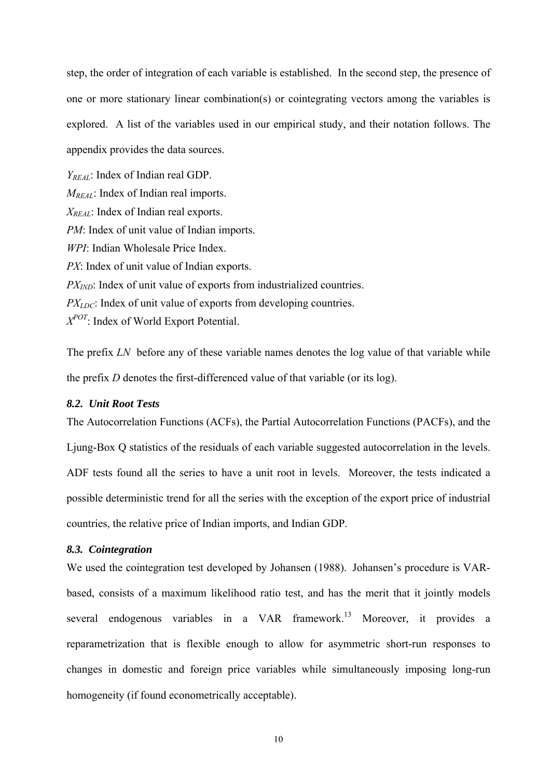step, the order of integration of each variable is established. In the second step, the presence of one or more stationary linear combination(s) or cointegrating vectors among the variables is explored. A list of the variables used in our empirical study, and their notation follows. The appendix provides the data sources.

*YREAL*: Index of Indian real GDP. *M<sub>REAL</sub>*: Index of Indian real imports. *X<sub>REAL</sub>*: Index of Indian real exports. *PM*: Index of unit value of Indian imports. *WPI*: Indian Wholesale Price Index. *PX*: Index of unit value of Indian exports. *PX<sub>IND</sub>*: Index of unit value of exports from industrialized countries. *PX<sub>LDC</sub>*: Index of unit value of exports from developing countries. *XPOT*: Index of World Export Potential.

The prefix *LN* before any of these variable names denotes the log value of that variable while the prefix *D* denotes the first-differenced value of that variable (or its log).

#### *8.2. Unit Root Tests*

The Autocorrelation Functions (ACFs), the Partial Autocorrelation Functions (PACFs), and the Ljung-Box Q statistics of the residuals of each variable suggested autocorrelation in the levels. ADF tests found all the series to have a unit root in levels. Moreover, the tests indicated a possible deterministic trend for all the series with the exception of the export price of industrial countries, the relative price of Indian imports, and Indian GDP.

#### *8.3. Cointegration*

We used the cointegration test developed by Johansen (1988). Johansen's procedure is VARbased, consists of a maximum likelihood ratio test, and has the merit that it jointly models several endogenous variables in a VAR framework.<sup>13</sup> Moreover, it provides a reparametrization that is flexible enough to allow for asymmetric short-run responses to changes in domestic and foreign price variables while simultaneously imposing long-run homogeneity (if found econometrically acceptable).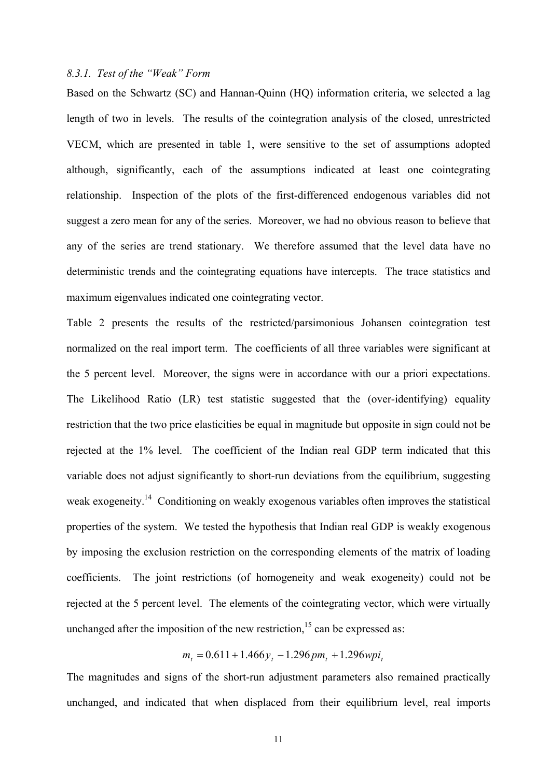#### *8.3.1. Test of the "Weak" Form*

Based on the Schwartz (SC) and Hannan-Quinn (HQ) information criteria, we selected a lag length of two in levels. The results of the cointegration analysis of the closed, unrestricted VECM, which are presented in table 1, were sensitive to the set of assumptions adopted although, significantly, each of the assumptions indicated at least one cointegrating relationship. Inspection of the plots of the first-differenced endogenous variables did not suggest a zero mean for any of the series. Moreover, we had no obvious reason to believe that any of the series are trend stationary. We therefore assumed that the level data have no deterministic trends and the cointegrating equations have intercepts. The trace statistics and maximum eigenvalues indicated one cointegrating vector.

Table 2 presents the results of the restricted/parsimonious Johansen cointegration test normalized on the real import term. The coefficients of all three variables were significant at the 5 percent level. Moreover, the signs were in accordance with our a priori expectations. The Likelihood Ratio (LR) test statistic suggested that the (over-identifying) equality restriction that the two price elasticities be equal in magnitude but opposite in sign could not be rejected at the 1% level. The coefficient of the Indian real GDP term indicated that this variable does not adjust significantly to short-run deviations from the equilibrium, suggesting weak exogeneity.<sup>14</sup> Conditioning on weakly exogenous variables often improves the statistical properties of the system. We tested the hypothesis that Indian real GDP is weakly exogenous by imposing the exclusion restriction on the corresponding elements of the matrix of loading coefficients. The joint restrictions (of homogeneity and weak exogeneity) could not be rejected at the 5 percent level. The elements of the cointegrating vector, which were virtually unchanged after the imposition of the new restriction,<sup>15</sup> can be expressed as:

 $m<sub>i</sub> = 0.611 + 1.466y<sub>i</sub> - 1.296pm<sub>i</sub> + 1.296mpi<sub>i</sub>$ 

The magnitudes and signs of the short-run adjustment parameters also remained practically unchanged, and indicated that when displaced from their equilibrium level, real imports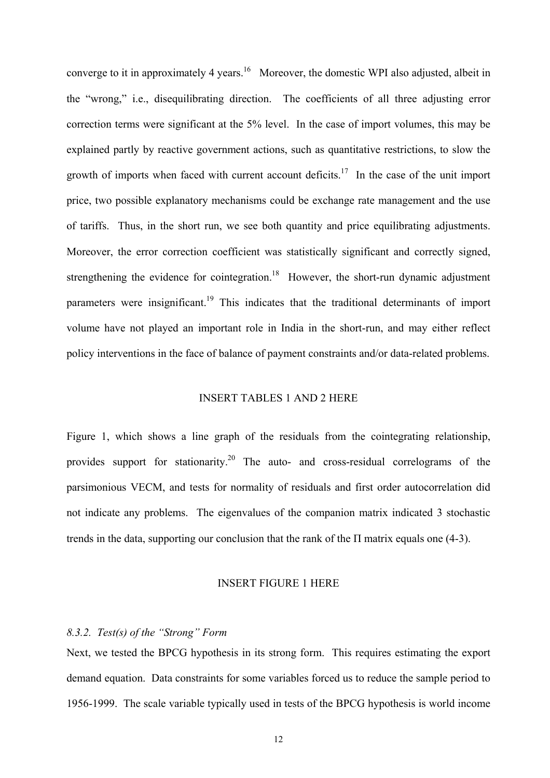converge to it in approximately 4 years.<sup>16</sup> Moreover, the domestic WPI also adjusted, albeit in the "wrong," i.e., disequilibrating direction. The coefficients of all three adjusting error correction terms were significant at the 5% level. In the case of import volumes, this may be explained partly by reactive government actions, such as quantitative restrictions, to slow the growth of imports when faced with current account deficits.<sup>17</sup> In the case of the unit import price, two possible explanatory mechanisms could be exchange rate management and the use of tariffs. Thus, in the short run, we see both quantity and price equilibrating adjustments. Moreover, the error correction coefficient was statistically significant and correctly signed, strengthening the evidence for cointegration.<sup>18</sup> However, the short-run dynamic adjustment parameters were insignificant.<sup>19</sup> This indicates that the traditional determinants of import volume have not played an important role in India in the short-run, and may either reflect policy interventions in the face of balance of payment constraints and/or data-related problems.

#### INSERT TABLES 1 AND 2 HERE

Figure 1, which shows a line graph of the residuals from the cointegrating relationship, provides support for stationarity.<sup>20</sup> The auto- and cross-residual correlograms of the parsimonious VECM, and tests for normality of residuals and first order autocorrelation did not indicate any problems. The eigenvalues of the companion matrix indicated 3 stochastic trends in the data, supporting our conclusion that the rank of the Π matrix equals one (4-3).

#### INSERT FIGURE 1 HERE

#### *8.3.2. Test(s) of the "Strong" Form*

Next, we tested the BPCG hypothesis in its strong form. This requires estimating the export demand equation. Data constraints for some variables forced us to reduce the sample period to 1956-1999. The scale variable typically used in tests of the BPCG hypothesis is world income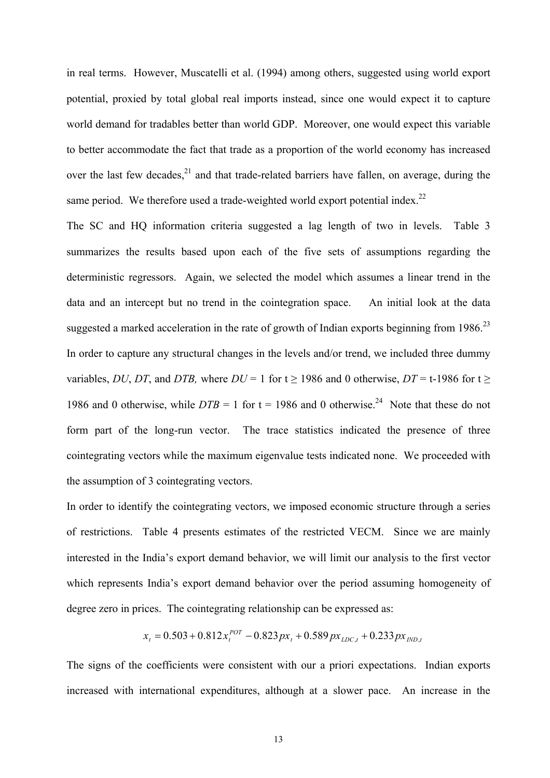in real terms. However, Muscatelli et al. (1994) among others, suggested using world export potential, proxied by total global real imports instead, since one would expect it to capture world demand for tradables better than world GDP. Moreover, one would expect this variable to better accommodate the fact that trade as a proportion of the world economy has increased over the last few decades, $^{21}$  and that trade-related barriers have fallen, on average, during the same period. We therefore used a trade-weighted world export potential index.<sup>22</sup>

The SC and HQ information criteria suggested a lag length of two in levels. Table 3 summarizes the results based upon each of the five sets of assumptions regarding the deterministic regressors. Again, we selected the model which assumes a linear trend in the data and an intercept but no trend in the cointegration space. An initial look at the data suggested a marked acceleration in the rate of growth of Indian exports beginning from  $1986$ <sup>23</sup> In order to capture any structural changes in the levels and/or trend, we included three dummy variables, *DU*, *DT*, and *DTB*, where  $DU = 1$  for  $t \ge 1986$  and 0 otherwise,  $DT = t-1986$  for  $t \ge 1986$ 1986 and 0 otherwise, while  $DTB = 1$  for  $t = 1986$  and 0 otherwise.<sup>24</sup> Note that these do not form part of the long-run vector. The trace statistics indicated the presence of three cointegrating vectors while the maximum eigenvalue tests indicated none. We proceeded with the assumption of 3 cointegrating vectors.

In order to identify the cointegrating vectors, we imposed economic structure through a series of restrictions. Table 4 presents estimates of the restricted VECM. Since we are mainly interested in the India's export demand behavior, we will limit our analysis to the first vector which represents India's export demand behavior over the period assuming homogeneity of degree zero in prices. The cointegrating relationship can be expressed as:

$$
x_{t} = 0.503 + 0.812x_{t}^{POT} - 0.823px_{t} + 0.589px_{LDC,t} + 0.233px_{IND,t}
$$

The signs of the coefficients were consistent with our a priori expectations. Indian exports increased with international expenditures, although at a slower pace. An increase in the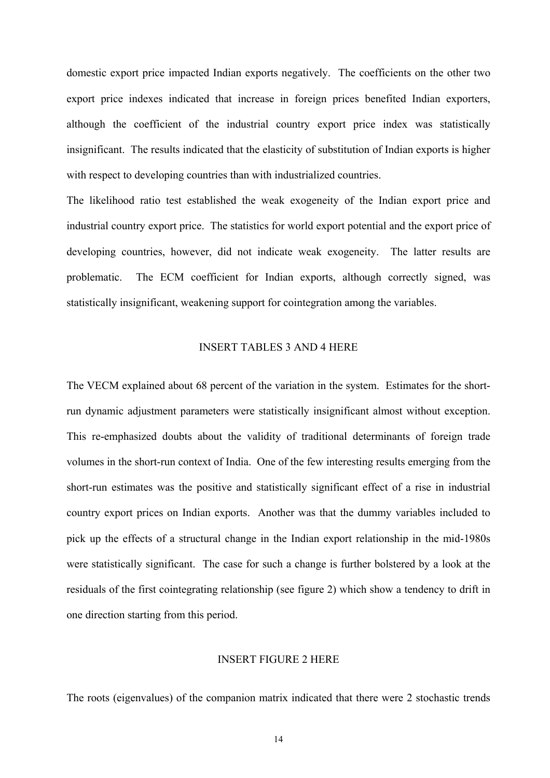domestic export price impacted Indian exports negatively. The coefficients on the other two export price indexes indicated that increase in foreign prices benefited Indian exporters, although the coefficient of the industrial country export price index was statistically insignificant. The results indicated that the elasticity of substitution of Indian exports is higher with respect to developing countries than with industrialized countries.

The likelihood ratio test established the weak exogeneity of the Indian export price and industrial country export price. The statistics for world export potential and the export price of developing countries, however, did not indicate weak exogeneity. The latter results are problematic. The ECM coefficient for Indian exports, although correctly signed, was statistically insignificant, weakening support for cointegration among the variables.

#### INSERT TABLES 3 AND 4 HERE

The VECM explained about 68 percent of the variation in the system. Estimates for the shortrun dynamic adjustment parameters were statistically insignificant almost without exception. This re-emphasized doubts about the validity of traditional determinants of foreign trade volumes in the short-run context of India. One of the few interesting results emerging from the short-run estimates was the positive and statistically significant effect of a rise in industrial country export prices on Indian exports. Another was that the dummy variables included to pick up the effects of a structural change in the Indian export relationship in the mid-1980s were statistically significant. The case for such a change is further bolstered by a look at the residuals of the first cointegrating relationship (see figure 2) which show a tendency to drift in one direction starting from this period.

#### INSERT FIGURE 2 HERE

The roots (eigenvalues) of the companion matrix indicated that there were 2 stochastic trends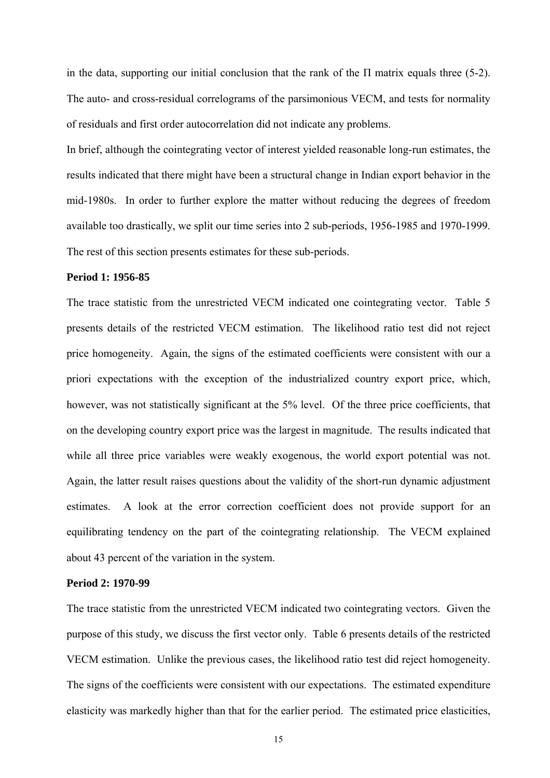in the data, supporting our initial conclusion that the rank of the  $\Pi$  matrix equals three (5-2). The auto- and cross-residual correlograms of the parsimonious VECM, and tests for normality of residuals and first order autocorrelation did not indicate any problems.

In brief, although the cointegrating vector of interest yielded reasonable long-run estimates, the results indicated that there might have been a structural change in Indian export behavior in the mid-1980s. In order to further explore the matter without reducing the degrees of freedom available too drastically, we split our time series into 2 sub-periods, 1956-1985 and 1970-1999. The rest of this section presents estimates for these sub-periods.

#### **Period 1: 1956-85**

The trace statistic from the unrestricted VECM indicated one cointegrating vector. Table 5 presents details of the restricted VECM estimation. The likelihood ratio test did not reject price homogeneity. Again, the signs of the estimated coefficients were consistent with our a priori expectations with the exception of the industrialized country export price, which, however, was not statistically significant at the 5% level. Of the three price coefficients, that on the developing country export price was the largest in magnitude. The results indicated that while all three price variables were weakly exogenous, the world export potential was not. Again, the latter result raises questions about the validity of the short-run dynamic adjustment estimates. A look at the error correction coefficient does not provide support for an equilibrating tendency on the part of the cointegrating relationship. The VECM explained about 43 percent of the variation in the system.

#### **Period 2: 1970-99**

The trace statistic from the unrestricted VECM indicated two cointegrating vectors. Given the purpose of this study, we discuss the first vector only. Table 6 presents details of the restricted VECM estimation. Unlike the previous cases, the likelihood ratio test did reject homogeneity. The signs of the coefficients were consistent with our expectations. The estimated expenditure elasticity was markedly higher than that for the earlier period. The estimated price elasticities,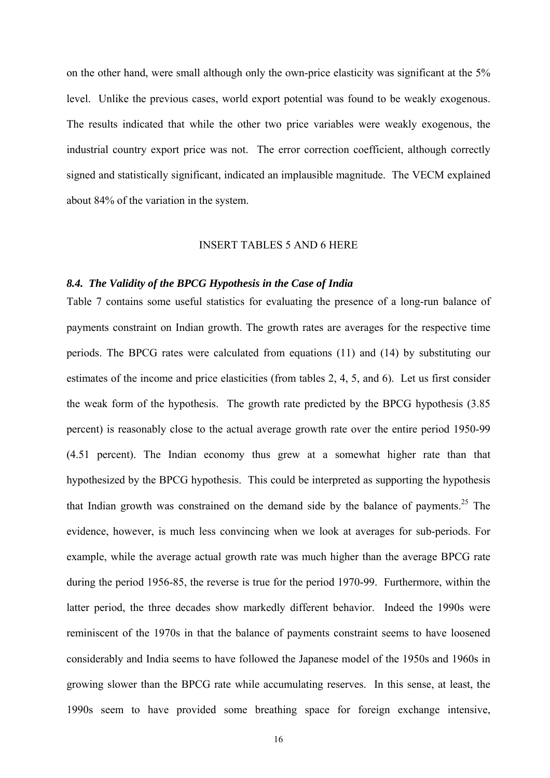on the other hand, were small although only the own-price elasticity was significant at the 5% level. Unlike the previous cases, world export potential was found to be weakly exogenous. The results indicated that while the other two price variables were weakly exogenous, the industrial country export price was not. The error correction coefficient, although correctly signed and statistically significant, indicated an implausible magnitude. The VECM explained about 84% of the variation in the system.

#### INSERT TABLES 5 AND 6 HERE

#### *8.4. The Validity of the BPCG Hypothesis in the Case of India*

Table 7 contains some useful statistics for evaluating the presence of a long-run balance of payments constraint on Indian growth. The growth rates are averages for the respective time periods. The BPCG rates were calculated from equations (11) and (14) by substituting our estimates of the income and price elasticities (from tables 2, 4, 5, and 6). Let us first consider the weak form of the hypothesis. The growth rate predicted by the BPCG hypothesis (3.85 percent) is reasonably close to the actual average growth rate over the entire period 1950-99 (4.51 percent). The Indian economy thus grew at a somewhat higher rate than that hypothesized by the BPCG hypothesis. This could be interpreted as supporting the hypothesis that Indian growth was constrained on the demand side by the balance of payments.<sup>25</sup> The evidence, however, is much less convincing when we look at averages for sub-periods. For example, while the average actual growth rate was much higher than the average BPCG rate during the period 1956-85, the reverse is true for the period 1970-99. Furthermore, within the latter period, the three decades show markedly different behavior. Indeed the 1990s were reminiscent of the 1970s in that the balance of payments constraint seems to have loosened considerably and India seems to have followed the Japanese model of the 1950s and 1960s in growing slower than the BPCG rate while accumulating reserves. In this sense, at least, the 1990s seem to have provided some breathing space for foreign exchange intensive,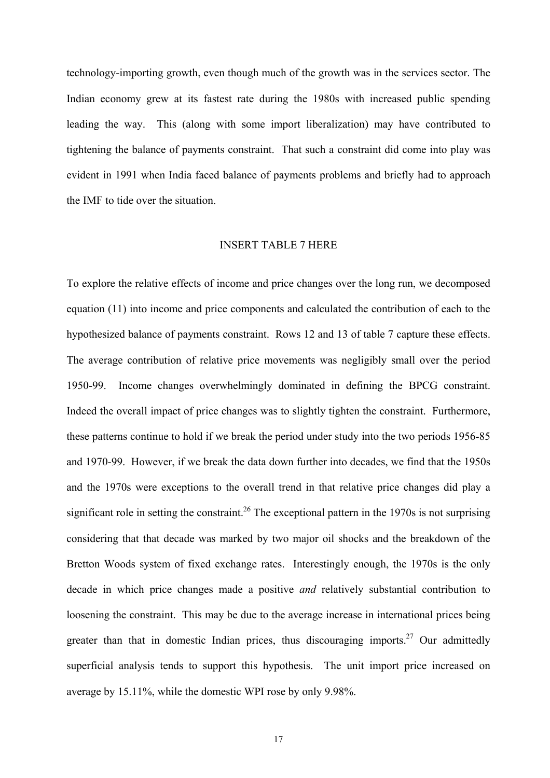technology-importing growth, even though much of the growth was in the services sector. The Indian economy grew at its fastest rate during the 1980s with increased public spending leading the way. This (along with some import liberalization) may have contributed to tightening the balance of payments constraint. That such a constraint did come into play was evident in 1991 when India faced balance of payments problems and briefly had to approach the IMF to tide over the situation.

#### INSERT TABLE 7 HERE

To explore the relative effects of income and price changes over the long run, we decomposed equation (11) into income and price components and calculated the contribution of each to the hypothesized balance of payments constraint. Rows 12 and 13 of table 7 capture these effects. The average contribution of relative price movements was negligibly small over the period 1950-99. Income changes overwhelmingly dominated in defining the BPCG constraint. Indeed the overall impact of price changes was to slightly tighten the constraint. Furthermore, these patterns continue to hold if we break the period under study into the two periods 1956-85 and 1970-99. However, if we break the data down further into decades, we find that the 1950s and the 1970s were exceptions to the overall trend in that relative price changes did play a significant role in setting the constraint.<sup>26</sup> The exceptional pattern in the 1970s is not surprising considering that that decade was marked by two major oil shocks and the breakdown of the Bretton Woods system of fixed exchange rates. Interestingly enough, the 1970s is the only decade in which price changes made a positive *and* relatively substantial contribution to loosening the constraint. This may be due to the average increase in international prices being greater than that in domestic Indian prices, thus discouraging imports.<sup>27</sup> Our admittedly superficial analysis tends to support this hypothesis. The unit import price increased on average by 15.11%, while the domestic WPI rose by only 9.98%.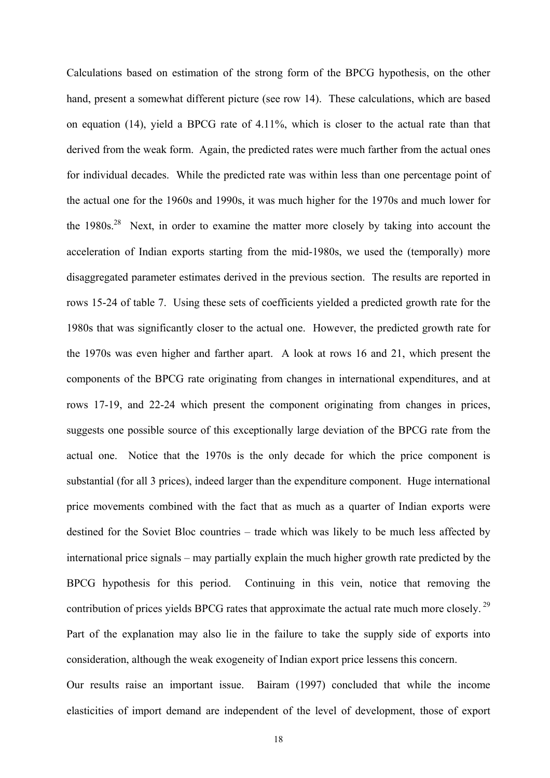Calculations based on estimation of the strong form of the BPCG hypothesis, on the other hand, present a somewhat different picture (see row 14). These calculations, which are based on equation (14), yield a BPCG rate of 4.11%, which is closer to the actual rate than that derived from the weak form. Again, the predicted rates were much farther from the actual ones for individual decades. While the predicted rate was within less than one percentage point of the actual one for the 1960s and 1990s, it was much higher for the 1970s and much lower for the  $1980s^{28}$  Next, in order to examine the matter more closely by taking into account the acceleration of Indian exports starting from the mid-1980s, we used the (temporally) more disaggregated parameter estimates derived in the previous section. The results are reported in rows 15-24 of table 7. Using these sets of coefficients yielded a predicted growth rate for the 1980s that was significantly closer to the actual one. However, the predicted growth rate for the 1970s was even higher and farther apart. A look at rows 16 and 21, which present the components of the BPCG rate originating from changes in international expenditures, and at rows 17-19, and 22-24 which present the component originating from changes in prices, suggests one possible source of this exceptionally large deviation of the BPCG rate from the actual one. Notice that the 1970s is the only decade for which the price component is substantial (for all 3 prices), indeed larger than the expenditure component. Huge international price movements combined with the fact that as much as a quarter of Indian exports were destined for the Soviet Bloc countries – trade which was likely to be much less affected by international price signals – may partially explain the much higher growth rate predicted by the BPCG hypothesis for this period. Continuing in this vein, notice that removing the contribution of prices yields BPCG rates that approximate the actual rate much more closely.<sup>29</sup> Part of the explanation may also lie in the failure to take the supply side of exports into consideration, although the weak exogeneity of Indian export price lessens this concern. Our results raise an important issue. Bairam (1997) concluded that while the income

elasticities of import demand are independent of the level of development, those of export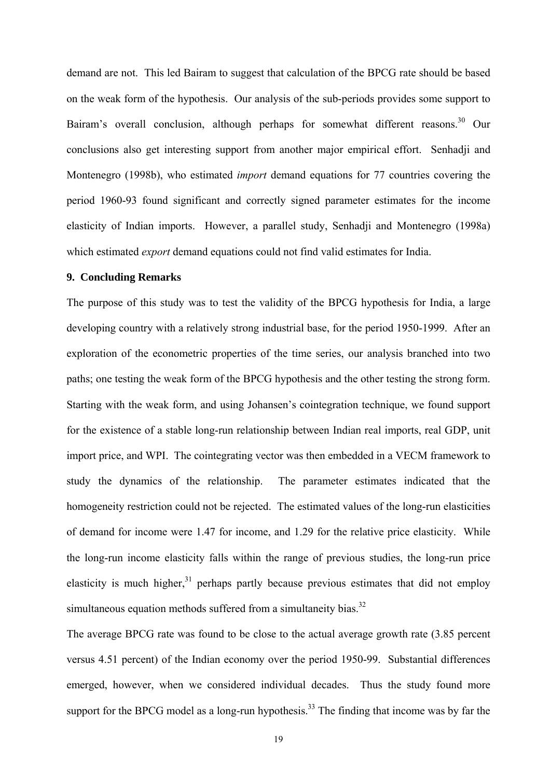demand are not. This led Bairam to suggest that calculation of the BPCG rate should be based on the weak form of the hypothesis. Our analysis of the sub-periods provides some support to Bairam's overall conclusion, although perhaps for somewhat different reasons.<sup>30</sup> Our conclusions also get interesting support from another major empirical effort. Senhadji and Montenegro (1998b), who estimated *import* demand equations for 77 countries covering the period 1960-93 found significant and correctly signed parameter estimates for the income elasticity of Indian imports. However, a parallel study, Senhadji and Montenegro (1998a) which estimated *export* demand equations could not find valid estimates for India.

#### **9. Concluding Remarks**

The purpose of this study was to test the validity of the BPCG hypothesis for India, a large developing country with a relatively strong industrial base, for the period 1950-1999. After an exploration of the econometric properties of the time series, our analysis branched into two paths; one testing the weak form of the BPCG hypothesis and the other testing the strong form. Starting with the weak form, and using Johansen's cointegration technique, we found support for the existence of a stable long-run relationship between Indian real imports, real GDP, unit import price, and WPI. The cointegrating vector was then embedded in a VECM framework to study the dynamics of the relationship. The parameter estimates indicated that the homogeneity restriction could not be rejected. The estimated values of the long-run elasticities of demand for income were 1.47 for income, and 1.29 for the relative price elasticity. While the long-run income elasticity falls within the range of previous studies, the long-run price elasticity is much higher.<sup>31</sup> perhaps partly because previous estimates that did not employ simultaneous equation methods suffered from a simultaneity bias.<sup>32</sup>

The average BPCG rate was found to be close to the actual average growth rate (3.85 percent versus 4.51 percent) of the Indian economy over the period 1950-99. Substantial differences emerged, however, when we considered individual decades. Thus the study found more support for the BPCG model as a long-run hypothesis.<sup>33</sup> The finding that income was by far the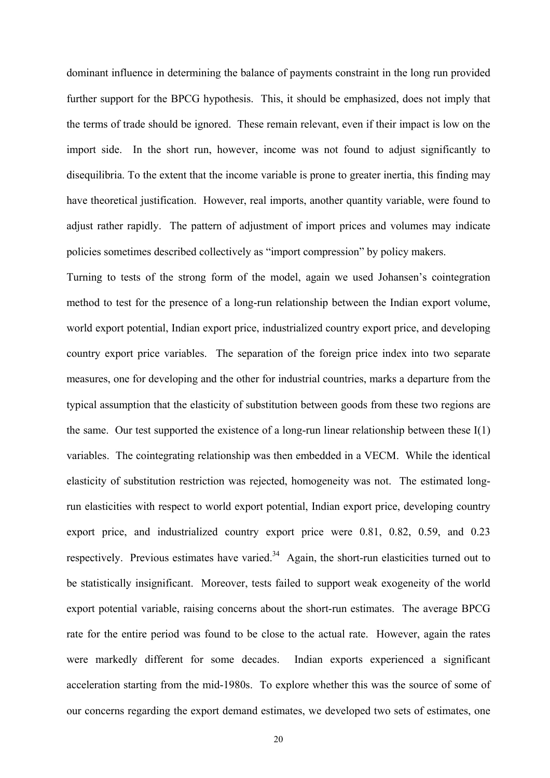dominant influence in determining the balance of payments constraint in the long run provided further support for the BPCG hypothesis. This, it should be emphasized, does not imply that the terms of trade should be ignored. These remain relevant, even if their impact is low on the import side. In the short run, however, income was not found to adjust significantly to disequilibria. To the extent that the income variable is prone to greater inertia, this finding may have theoretical justification. However, real imports, another quantity variable, were found to adjust rather rapidly. The pattern of adjustment of import prices and volumes may indicate policies sometimes described collectively as "import compression" by policy makers.

Turning to tests of the strong form of the model, again we used Johansen's cointegration method to test for the presence of a long-run relationship between the Indian export volume, world export potential, Indian export price, industrialized country export price, and developing country export price variables. The separation of the foreign price index into two separate measures, one for developing and the other for industrial countries, marks a departure from the typical assumption that the elasticity of substitution between goods from these two regions are the same. Our test supported the existence of a long-run linear relationship between these  $I(1)$ variables. The cointegrating relationship was then embedded in a VECM. While the identical elasticity of substitution restriction was rejected, homogeneity was not. The estimated longrun elasticities with respect to world export potential, Indian export price, developing country export price, and industrialized country export price were 0.81, 0.82, 0.59, and 0.23 respectively. Previous estimates have varied.<sup>34</sup> Again, the short-run elasticities turned out to be statistically insignificant. Moreover, tests failed to support weak exogeneity of the world export potential variable, raising concerns about the short-run estimates. The average BPCG rate for the entire period was found to be close to the actual rate. However, again the rates were markedly different for some decades. Indian exports experienced a significant acceleration starting from the mid-1980s. To explore whether this was the source of some of our concerns regarding the export demand estimates, we developed two sets of estimates, one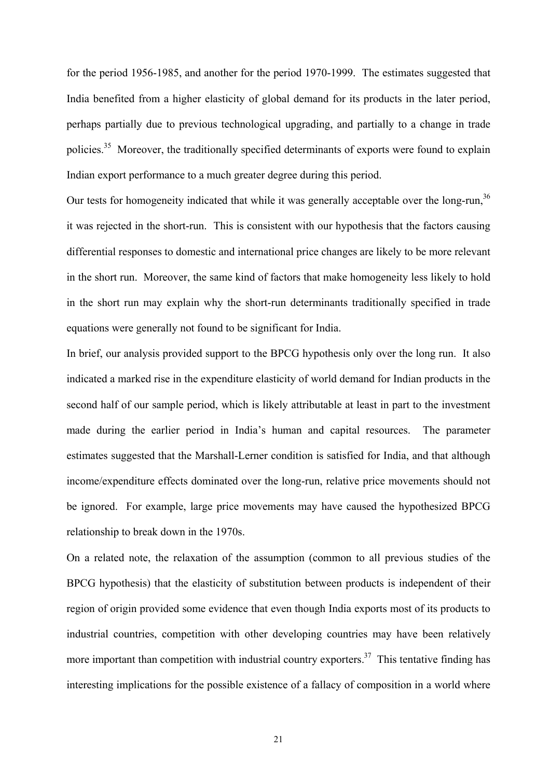for the period 1956-1985, and another for the period 1970-1999. The estimates suggested that India benefited from a higher elasticity of global demand for its products in the later period, perhaps partially due to previous technological upgrading, and partially to a change in trade policies.<sup>35</sup> Moreover, the traditionally specified determinants of exports were found to explain Indian export performance to a much greater degree during this period.

Our tests for homogeneity indicated that while it was generally acceptable over the long-run,<sup>36</sup> it was rejected in the short-run. This is consistent with our hypothesis that the factors causing differential responses to domestic and international price changes are likely to be more relevant in the short run. Moreover, the same kind of factors that make homogeneity less likely to hold in the short run may explain why the short-run determinants traditionally specified in trade equations were generally not found to be significant for India.

In brief, our analysis provided support to the BPCG hypothesis only over the long run. It also indicated a marked rise in the expenditure elasticity of world demand for Indian products in the second half of our sample period, which is likely attributable at least in part to the investment made during the earlier period in India's human and capital resources. The parameter estimates suggested that the Marshall-Lerner condition is satisfied for India, and that although income/expenditure effects dominated over the long-run, relative price movements should not be ignored. For example, large price movements may have caused the hypothesized BPCG relationship to break down in the 1970s.

On a related note, the relaxation of the assumption (common to all previous studies of the BPCG hypothesis) that the elasticity of substitution between products is independent of their region of origin provided some evidence that even though India exports most of its products to industrial countries, competition with other developing countries may have been relatively more important than competition with industrial country exporters.<sup>37</sup> This tentative finding has interesting implications for the possible existence of a fallacy of composition in a world where

21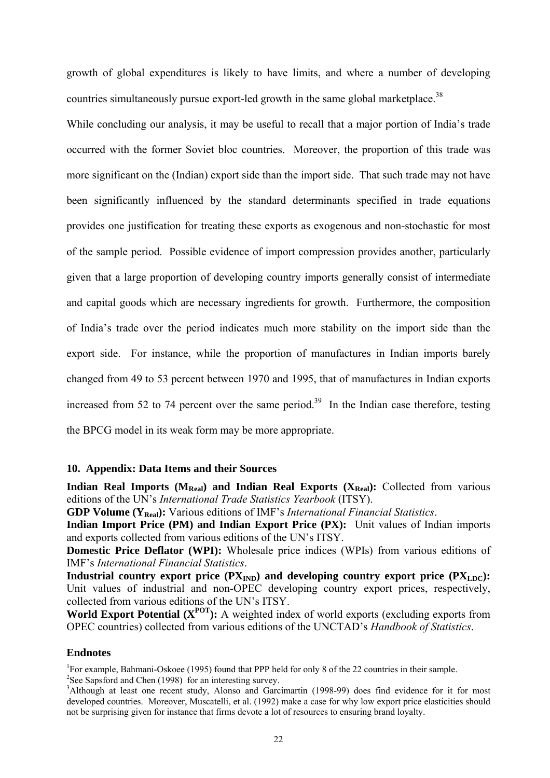growth of global expenditures is likely to have limits, and where a number of developing countries simultaneously pursue export-led growth in the same global marketplace.<sup>38</sup>

While concluding our analysis, it may be useful to recall that a major portion of India's trade occurred with the former Soviet bloc countries. Moreover, the proportion of this trade was more significant on the (Indian) export side than the import side. That such trade may not have been significantly influenced by the standard determinants specified in trade equations provides one justification for treating these exports as exogenous and non-stochastic for most of the sample period. Possible evidence of import compression provides another, particularly given that a large proportion of developing country imports generally consist of intermediate and capital goods which are necessary ingredients for growth. Furthermore, the composition of India's trade over the period indicates much more stability on the import side than the export side. For instance, while the proportion of manufactures in Indian imports barely changed from 49 to 53 percent between 1970 and 1995, that of manufactures in Indian exports increased from 52 to 74 percent over the same period.<sup>39</sup> In the Indian case therefore, testing the BPCG model in its weak form may be more appropriate.

#### **10. Appendix: Data Items and their Sources**

**Indian Real Imports (** $M_{Real}$ **) and Indian Real Exports (** $X_{Real}$ **):** Collected from various editions of the UN's *International Trade Statistics Yearbook* (ITSY).

**GDP Volume (YReal):** Various editions of IMF's *International Financial Statistics*.

**Indian Import Price (PM) and Indian Export Price (PX):** Unit values of Indian imports and exports collected from various editions of the UN's ITSY.

**Domestic Price Deflator (WPI):** Wholesale price indices (WPIs) from various editions of IMF's *International Financial Statistics*.

**Industrial country export price**  $(PX_{IND})$  **and developing country export price**  $(PX_{LDC})$ **:** Unit values of industrial and non-OPEC developing country export prices, respectively, collected from various editions of the UN's ITSY.

World Export Potential ( $X^{POT}$ ): A weighted index of world exports (excluding exports from OPEC countries) collected from various editions of the UNCTAD's *Handbook of Statistics*.

#### **Endnotes**

<sup>1</sup>For example, Bahmani-Oskoee (1995) found that PPP held for only 8 of the 22 countries in their sample.

 $2$ See Sapsford and Chen (1998) for an interesting survey.

<sup>&</sup>lt;sup>3</sup>Although at least one recent study, Alonso and Garcimartin (1998-99) does find evidence for it for most developed countries. Moreover, Muscatelli, et al. (1992) make a case for why low export price elasticities should not be surprising given for instance that firms devote a lot of resources to ensuring brand loyalty.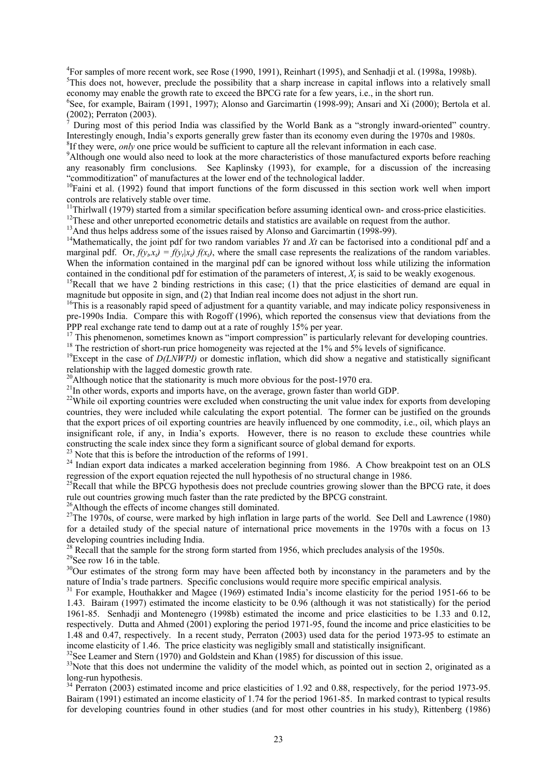<sup>4</sup>For samples of more recent work, see Rose (1990, 1991), Reinhart (1995), and Senhadji et al. (1998a, 1998b).  $\frac{5 \text{This does not have zero, probability that a when increase in capital inflows into a relatively small.}$ <sup>5</sup>This does not, however, preclude the possibility that a sharp increase in capital inflows into a relatively small

economy may enable the growth rate to exceed the BPCG rate for a few years, i.e., in the short run. 6 <sup>6</sup>See, for example, Bairam (1991, 1997); Alonso and Garcimartin (1998-99); Ansari and Xi (2000); Bertola et al.

(2002); Perraton (2003).<br>
<sup>7</sup> During most of this period India was classified by the World Bank as a "strongly inward-oriented" country.<br>
Interestingly enough, India's exports generally grew faster than its economy even d <sup>8</sup>If they were, *only* one price would be sufficient to capture all the relevant information in each case.

<sup>9</sup>Although one would also need to look at the more characteristics of those manufactured exports before reaching any reasonably firm conclusions. See Kaplinsky (1993), for example, for a discussion of the increasing "commoditization" of manufactures at the lower end of the technological ladder. 10Faini et al. (1992) found that import functions of the form discussed in this section work well when import

controls are relatively stable over time.<br><sup>11</sup>Thirlwall (1979) started from a similar specification before assuming identical own- and cross-price elasticities.

<sup>12</sup>These and other unreported econometric details and statistics are available on request from the author.<br><sup>13</sup>And thus helps address some of the issues raised by Alonso and Garcimartin (1998-99).<br><sup>14</sup>Mathematically, the

marginal pdf. Or,  $f(y_t, x_t) = f(y_t|x_t) f(x_t)$ , where the small case represents the realizations of the random variables. When the information contained in the marginal pdf can be ignored without loss while utilizing the information contained in the conditional pdf for estimation of the parameters of interest,  $X_t$  is said to be weakly exoge

<sup>15</sup>Recall that we have 2 binding restrictions in this case; (1) that the price elasticities of demand are equal in

magnitude but opposite in sign, and (2) that Indian real income does not adjust in the short run.<br><sup>16</sup>This is a reasonably rapid speed of adjustment for a quantity variable, and may indicate policy responsiveness in pre-1990s India. Compare this with Rogoff (1996), which reported the consensus view that deviations from the PPP real exchange rate tend to damp out at a rate of roughly 15% per year.<br><sup>17</sup> This phenomenon, sometimes known as "import compression" is particularly relevant for developing countries.

<sup>18</sup> The restriction of short-run price homogeneity was rejected at the 1% and 5% levels of significance.<br><sup>19</sup>Except in the case of *D(LNWPI)* or domestic inflation, which did show a negative and statistically significant

<sup>20</sup>Although notice that the stationarity is much more obvious for the post-1970 era.<br><sup>21</sup>In other words, exports and imports have, on the average, grown faster than world GDP.<br><sup>22</sup>While oil exporting countries were exclu countries, they were included while calculating the export potential. The former can be justified on the grounds that the export prices of oil exporting countries are heavily influenced by one commodity, i.e., oil, which plays an insignificant role, if any, in India's exports. However, there is no reason to exclude these countries while

constructing the scale index since they form a significant source of global demand for exports.<br><sup>23</sup> Note that this is before the introduction of the reforms of 1991.<br><sup>24</sup> Indian export data indicates a marked acceleratio

<sup>25</sup>Recall that while the BPCG hypothesis does not preclude countries growing slower than the BPCG rate, it does rule out countries growing much faster than the rate predicted by the BPCG constraint.

<sup>26</sup>Although the effects of income changes still dominated.<br><sup>27</sup>The 1970s, of course, were marked by high inflation in large parts of the world. See Dell and Lawrence (1980) for a detailed study of the special nature of international price movements in the 1970s with a focus on 13

developing countries including India.<br><sup>28</sup> Recall that the sample for the strong form started from 1956, which precludes analysis of the 1950s.

<sup>29</sup>See row 16 in the table.<br><sup>30</sup>Our estimates of the strong form may have been affected both by inconstancy in the parameters and by the nature of India's trade partners. Specific conclusions would require more specific

<sup>31</sup> For example, Houthakker and Magee (1969) estimated India's income elasticity for the period 1951-66 to be 1.43. Bairam (1997) estimated the income elasticity to be 0.96 (although it was not statistically) for the period 1961-85. Senhadji and Montenegro (1998b) estimated the income and price elasticities to be 1.33 and 0.12, respectively. Dutta and Ahmed (2001) exploring the period 1971-95, found the income and price elasticities to be 1.48 and 0.47, respectively. In a recent study, Perraton (2003) used data for the period 1973-95 to estimate an income elasticity of 1.46. The price elasticity was negligibly small and statistically insignificant.<br><sup>32</sup>See Leamer and Stern (1970) and Goldstein and Khan (1985) for discussion of this issue.<br><sup>33</sup>Note that this does not

long-run hypothesis.

 $34$  Perraton (2003) estimated income and price elasticities of 1.92 and 0.88, respectively, for the period 1973-95. Bairam (1991) estimated an income elasticity of 1.74 for the period 1961-85. In marked contrast to typical results for developing countries found in other studies (and for most other countries in his study), Rittenberg (1986)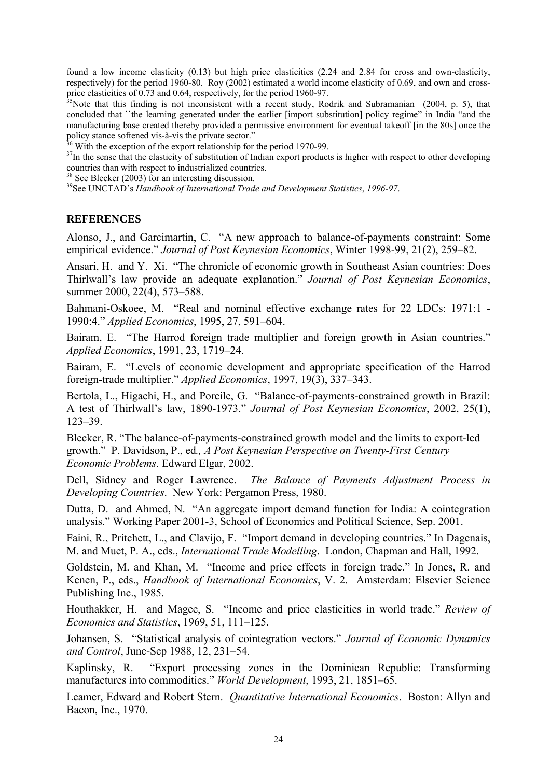found a low income elasticity (0.13) but high price elasticities (2.24 and 2.84 for cross and own-elasticity, respectively) for the period 1960-80. Roy (2002) estimated a world income elasticity of 0.69, and own and cross-

price elasticities of 0.73 and 0.64, respectively, for the period 1960-97.<br><sup>35</sup>Note that this finding is not inconsistent with a recent study, Rodrik and Subramanian (2004, p. 5), that concluded that ``the learning generated under the earlier [import substitution] policy regime" in India "and the manufacturing base created thereby provided a permissive environment for eventual takeoff [in the 80s] once the policy stance softened vis-à-vis the private sector."<br><sup>36</sup> With the exception of the export relationship for the period 1970-99.

 $^{37}$ In the sense that the elasticity of substitution of Indian export products is higher with respect to other developing countries than with respect to industrialized countries.<br><sup>38</sup> See Blecker (2003) for an interesting discussion.

See Blecker (2003) for an interesting discussion. 39See UNCTAD's *Handbook of International Trade and Development Statistics*, *1996-97*.

#### **REFERENCES**

Alonso, J., and Garcimartin, C. "A new approach to balance-of-payments constraint: Some empirical evidence." *Journal of Post Keynesian Economics*, Winter 1998-99, 21(2), 259–82.

Ansari, H. and Y. Xi. "The chronicle of economic growth in Southeast Asian countries: Does Thirlwall's law provide an adequate explanation." *Journal of Post Keynesian Economics*, summer 2000, 22(4), 573–588.

Bahmani-Oskoee, M. "Real and nominal effective exchange rates for 22 LDCs: 1971:1 - 1990:4." *Applied Economics*, 1995, 27, 591–604.

Bairam, E. "The Harrod foreign trade multiplier and foreign growth in Asian countries." *Applied Economics*, 1991, 23, 1719–24.

Bairam, E. "Levels of economic development and appropriate specification of the Harrod foreign-trade multiplier." *Applied Economics*, 1997, 19(3), 337–343.

Bertola, L., Higachi, H., and Porcile, G. "Balance-of-payments-constrained growth in Brazil: A test of Thirlwall's law, 1890-1973." *Journal of Post Keynesian Economics*, 2002, 25(1), 123–39.

Blecker, R. "The balance-of-payments-constrained growth model and the limits to export-led growth." P. Davidson, P., ed*., A Post Keynesian Perspective on Twenty-First Century Economic Problems*. Edward Elgar, 2002.

Dell, Sidney and Roger Lawrence. *The Balance of Payments Adjustment Process in Developing Countries*. New York: Pergamon Press, 1980.

Dutta, D. and Ahmed, N. "An aggregate import demand function for India: A cointegration analysis." Working Paper 2001-3, School of Economics and Political Science, Sep. 2001.

Faini, R., Pritchett, L., and Clavijo, F. "Import demand in developing countries." In Dagenais, M. and Muet, P. A., eds., *International Trade Modelling*. London, Chapman and Hall, 1992.

Goldstein, M. and Khan, M. "Income and price effects in foreign trade." In Jones, R. and Kenen, P., eds., *Handbook of International Economics*, V. 2. Amsterdam: Elsevier Science Publishing Inc., 1985.

Houthakker, H. and Magee, S. "Income and price elasticities in world trade." *Review of Economics and Statistics*, 1969, 51, 111–125.

Johansen, S. "Statistical analysis of cointegration vectors." *Journal of Economic Dynamics and Control*, June-Sep 1988, 12, 231–54.

Kaplinsky, R. "Export processing zones in the Dominican Republic: Transforming manufactures into commodities." *World Development*, 1993, 21, 1851–65.

Leamer, Edward and Robert Stern. *Quantitative International Economics*. Boston: Allyn and Bacon, Inc., 1970.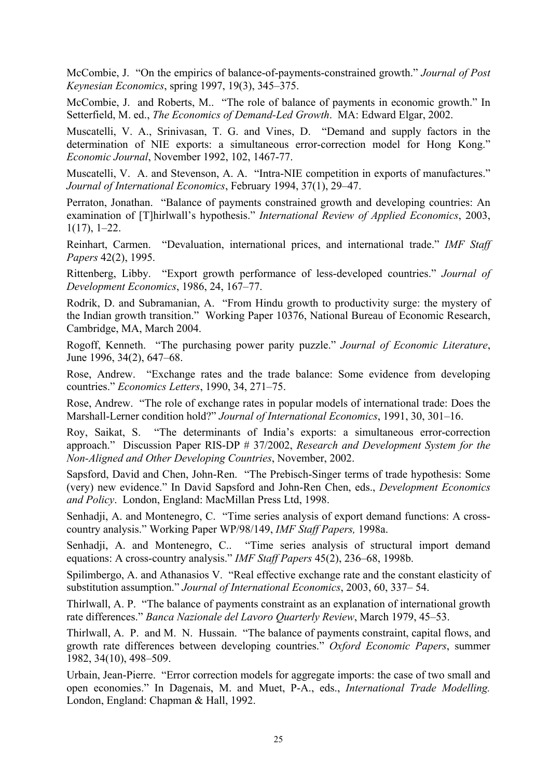McCombie, J. "On the empirics of balance-of-payments-constrained growth." *Journal of Post Keynesian Economics*, spring 1997, 19(3), 345–375.

McCombie, J. and Roberts, M.. "The role of balance of payments in economic growth." In Setterfield, M. ed., *The Economics of Demand-Led Growth*. MA: Edward Elgar, 2002.

Muscatelli, V. A., Srinivasan, T. G. and Vines, D. "Demand and supply factors in the determination of NIE exports: a simultaneous error-correction model for Hong Kong." *Economic Journal*, November 1992, 102, 1467-77.

Muscatelli, V. A. and Stevenson, A. A. "Intra-NIE competition in exports of manufactures." *Journal of International Economics*, February 1994, 37(1), 29–47.

Perraton, Jonathan. "Balance of payments constrained growth and developing countries: An examination of [T]hirlwall's hypothesis." *International Review of Applied Economics*, 2003, 1(17), 1–22.

Reinhart, Carmen. "Devaluation, international prices, and international trade." *IMF Staff Papers* 42(2), 1995.

Rittenberg, Libby. "Export growth performance of less-developed countries." *Journal of Development Economics*, 1986, 24, 167–77.

Rodrik, D. and Subramanian, A. "From Hindu growth to productivity surge: the mystery of the Indian growth transition." Working Paper 10376, National Bureau of Economic Research, Cambridge, MA, March 2004.

Rogoff, Kenneth. "The purchasing power parity puzzle." *Journal of Economic Literature*, June 1996, 34(2), 647–68.

Rose, Andrew. "Exchange rates and the trade balance: Some evidence from developing countries." *Economics Letters*, 1990, 34, 271–75.

Rose, Andrew. "The role of exchange rates in popular models of international trade: Does the Marshall-Lerner condition hold?" *Journal of International Economics*, 1991, 30, 301–16.

Roy, Saikat, S. "The determinants of India's exports: a simultaneous error-correction approach." Discussion Paper RIS-DP # 37/2002, *Research and Development System for the Non-Aligned and Other Developing Countries*, November, 2002.

Sapsford, David and Chen, John-Ren. "The Prebisch-Singer terms of trade hypothesis: Some (very) new evidence." In David Sapsford and John-Ren Chen, eds., *Development Economics and Policy*. London, England: MacMillan Press Ltd, 1998.

Senhadji, A. and Montenegro, C. "Time series analysis of export demand functions: A crosscountry analysis." Working Paper WP/98/149, *IMF Staff Papers,* 1998a.

Senhadji, A. and Montenegro, C.. "Time series analysis of structural import demand equations: A cross-country analysis." *IMF Staff Papers* 45(2), 236–68, 1998b.

Spilimbergo, A. and Athanasios V. "Real effective exchange rate and the constant elasticity of substitution assumption." *Journal of International Economics*, 2003, 60, 337– 54.

Thirlwall, A. P. "The balance of payments constraint as an explanation of international growth rate differences." *Banca Nazionale del Lavoro Quarterly Review*, March 1979, 45–53.

Thirlwall, A. P. and M. N. Hussain. "The balance of payments constraint, capital flows, and growth rate differences between developing countries." *Oxford Economic Papers*, summer 1982, 34(10), 498–509.

Urbain, Jean-Pierre. "Error correction models for aggregate imports: the case of two small and open economies." In Dagenais, M. and Muet, P-A., eds., *International Trade Modelling.*  London, England: Chapman & Hall, 1992.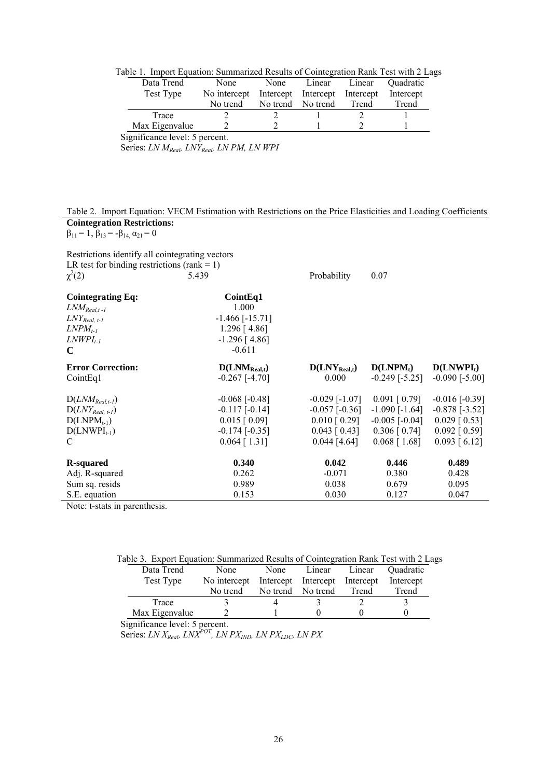|  |  |  | Table 1. Import Equation: Summarized Results of Cointegration Rank Test with 2 Lags |  |  |  |  |  |
|--|--|--|-------------------------------------------------------------------------------------|--|--|--|--|--|
|--|--|--|-------------------------------------------------------------------------------------|--|--|--|--|--|

| Data Trend                                                                  | None         | None     | Linear                        | Linear | Ouadratic |  |
|-----------------------------------------------------------------------------|--------------|----------|-------------------------------|--------|-----------|--|
| Test Type                                                                   | No intercept |          | Intercept Intercept Intercept |        | Intercept |  |
|                                                                             | No trend     | No trend | No trend                      | Trend  | Trend     |  |
| Trace                                                                       |              |          |                               |        |           |  |
| Max Eigenvalue                                                              |              |          |                               |        |           |  |
| $:  : \mathfrak{L}$ and an India I, $\mathfrak{L}$ is an and $\mathfrak{L}$ |              |          |                               |        |           |  |

Significance level: 5 percent.

Series: *LN MReal, LNYReal, LN PM, LN WPI*

#### Table 2. Import Equation: VECM Estimation with Restrictions on the Price Elasticities and Loading Coefficients **Cointegration Restrictions:**

 $\beta_{11} = 1, \beta_{13} = -\beta_{14}, \alpha_{21} = 0$ 

Restrictions identify all cointegrating vectors LR test for binding restrictions (rank  $= 1$ )  $\chi^2$ (2) 5.439 Probability 0.07

| <b>Cointegrating Eq:</b><br>$LM_{Real, t-l}$<br>$LNY_{Real, t-1}$<br>$LNPM_{t-1}$<br>$LNWPI_{t-1}$<br>C | Coint Eq1<br>1.000<br>$-1.466$ [ $-15.71$ ]<br>$1.296$ [4.86]<br>$-1.296$ [4.86]<br>$-0.611$               |                                                                                                      |                                                                                                           |                                                                                                      |
|---------------------------------------------------------------------------------------------------------|------------------------------------------------------------------------------------------------------------|------------------------------------------------------------------------------------------------------|-----------------------------------------------------------------------------------------------------------|------------------------------------------------------------------------------------------------------|
| <b>Error Correction:</b>                                                                                | $D(LNM_{Real,t})$                                                                                          | $D(LNY_{Real,t})$                                                                                    | D(LNPM <sub>t</sub> )                                                                                     | $D(LNWPI_t)$                                                                                         |
| CointEq1                                                                                                | $-0.267$ [ $-4.70$ ]                                                                                       | 0.000                                                                                                | $-0.249$ [ $-5.25$ ]                                                                                      | $-0.090$ [ $-5.00$ ]                                                                                 |
| $D(LNM_{Real,t-1})$<br>$D(LNY_{Real. t-1})$<br>$D(LNPM_{t-1})$<br>$D(LNWPI_{t-1})$<br>C                 | $-0.068$ [ $-0.48$ ]<br>$-0.117$ [ $-0.14$ ]<br>$0.015$ [ 0.09]<br>$-0.174$ [ $-0.35$ ]<br>$0.064$ [ 1.31] | $-0.029$ [ $-1.07$ ]<br>$-0.057$ [ $-0.36$ ]<br>$0.010$ [ 0.29]<br>$0.043$ [ 0.43]<br>$0.044$ [4.64] | $0.091$ [ $0.79$ ]<br>$-1.090$ $[-1.64]$<br>$-0.005$ [ $-0.04$ ]<br>$0.306$ [ $0.74$ ]<br>$0.068$ [ 1.68] | $-0.016$ [ $-0.39$ ]<br>$-0.878$ [ $-3.52$ ]<br>$0.029$ [ 0.53]<br>$0.092$ [ 0.59]<br>$0.093$ [6.12] |
| R-squared                                                                                               | 0.340                                                                                                      | 0.042                                                                                                | 0.446                                                                                                     | 0.489                                                                                                |
| Adj. R-squared                                                                                          | 0.262                                                                                                      | $-0.071$                                                                                             | 0.380                                                                                                     | 0.428                                                                                                |
| Sum sq. resids                                                                                          | 0.989                                                                                                      | 0.038                                                                                                | 0.679                                                                                                     | 0.095                                                                                                |
| S.E. equation                                                                                           | 0.153                                                                                                      | 0.030                                                                                                | 0.127                                                                                                     | 0.047                                                                                                |

Note: t-stats in parenthesis.

| Table 3. Export Equation: Summarized Results of Cointegration Rank Test with 2 Lags |              |                               |          |        |                         |  |  |  |
|-------------------------------------------------------------------------------------|--------------|-------------------------------|----------|--------|-------------------------|--|--|--|
| Data Trend                                                                          | None         | None                          | Linear   | Linear | <i><b>Ouadratic</b></i> |  |  |  |
| Test Type                                                                           | No intercept | Intercept Intercept Intercept |          |        | Intercept               |  |  |  |
|                                                                                     | No trend     | No trend                      | No trend | Trend  | Trend                   |  |  |  |
| Trace                                                                               |              |                               |          |        |                         |  |  |  |
| Max Eigenvalue                                                                      |              |                               |          |        |                         |  |  |  |

Significance level: 5 percent.

Series: *LN X<sub>Real</sub>, LNX<sup>POT</sup>*, *LN PX<sub>IND</sub>*, *LN PX<sub>LDC</sub>*, *LN PX*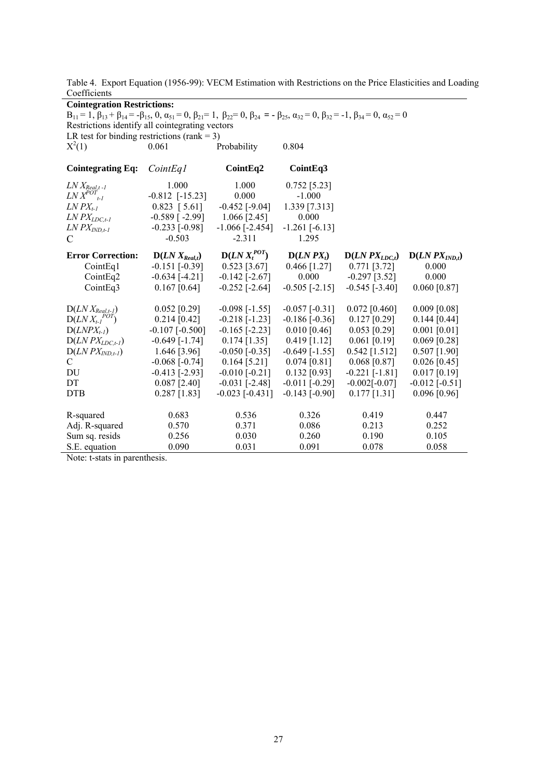Table 4. Export Equation (1956-99): VECM Estimation with Restrictions on the Price Elasticities and Loading Coefficients

| <b>Cointegration Restrictions:</b><br>$B_{11} = 1$ , $\beta_{13} + \beta_{14} = -\beta_{15}$ , 0, $\alpha_{51} = 0$ , $\beta_{21} = 1$ , $\beta_{22} = 0$ , $\beta_{24} = -\beta_{25}$ , $\alpha_{32} = 0$ , $\beta_{32} = -1$ , $\beta_{34} = 0$ , $\alpha_{52} = 0$ |                       |                       |                      |                      |                    |  |  |  |
|-----------------------------------------------------------------------------------------------------------------------------------------------------------------------------------------------------------------------------------------------------------------------|-----------------------|-----------------------|----------------------|----------------------|--------------------|--|--|--|
| Restrictions identify all cointegrating vectors                                                                                                                                                                                                                       |                       |                       |                      |                      |                    |  |  |  |
| LR test for binding restrictions (rank = 3)                                                                                                                                                                                                                           |                       |                       |                      |                      |                    |  |  |  |
| $X^2(1)$                                                                                                                                                                                                                                                              | 0.061                 | Probability           | 0.804                |                      |                    |  |  |  |
| <b>Cointegrating Eq:</b>                                                                                                                                                                                                                                              | CointEq1              | CointEq2              | CointEq3             |                      |                    |  |  |  |
| $LN X_{Real, t-l}$                                                                                                                                                                                                                                                    | 1.000                 | 1.000                 | $0.752$ [5.23]       |                      |                    |  |  |  |
| $LNX^{POT}$ <sub>t-1</sub>                                                                                                                                                                                                                                            | $-0.812$ [ $-15.23$ ] | 0.000                 | $-1.000$             |                      |                    |  |  |  |
| $LN$ $PX_{t-1}$                                                                                                                                                                                                                                                       | $0.823$ [ 5.61]       | $-0.452$ [ $-9.04$ ]  | 1.339 [7.313]        |                      |                    |  |  |  |
| $LN$ $PX$ <sub><math>LDC,t-1</math></sub>                                                                                                                                                                                                                             | $-0.589$ [ $-2.99$ ]  | $1.066$ [2.45]        | 0.000                |                      |                    |  |  |  |
| $LN$ $PX$ <sub><math>IND, t-1</math></sub>                                                                                                                                                                                                                            | $-0.233$ $[-0.98]$    | $-1.066$ [ $-2.454$ ] | $-1.261$ [ $-6.13$ ] |                      |                    |  |  |  |
| $\mathcal{C}$                                                                                                                                                                                                                                                         | $-0.503$              | $-2.311$              | 1.295                |                      |                    |  |  |  |
| <b>Error Correction:</b>                                                                                                                                                                                                                                              | $D(LN X_{Real,t})$    | $D(LN X_t^{POT})$     | $D(LNPX_t)$          | $D(LNPX_{LDC,t})$    | $D(LNPX_{IND,t})$  |  |  |  |
| CointEq1                                                                                                                                                                                                                                                              | $-0.151$ $[-0.39]$    | $0.523$ [3.67]        | 0.466 [1.27]         | $0.771$ [3.72]       | 0.000              |  |  |  |
| CointEq2                                                                                                                                                                                                                                                              | $-0.634$ [ $-4.21$ ]  | $-0.142$ [ $-2.67$ ]  | 0.000                | $-0.297$ [3.52]      | 0.000              |  |  |  |
| CointEq3                                                                                                                                                                                                                                                              | $0.167$ [0.64]        | $-0.252$ [ $-2.64$ ]  | $-0.505$ [ $-2.15$ ] | $-0.545$ [ $-3.40$ ] | $0.060$ [0.87]     |  |  |  |
| $D(LN X_{Real,t-1})$                                                                                                                                                                                                                                                  | $0.052$ [0.29]        | $-0.098$ [ $-1.55$ ]  | $-0.057$ $[-0.31]$   | $0.072$ [0.460]      | $0.009$ [0.08]     |  |  |  |
| $D(LN X_{t-1}^{POT})$                                                                                                                                                                                                                                                 | $0.214$ [0.42]        | $-0.218$ [ $-1.23$ ]  | $-0.186$ [ $-0.36$ ] | $0.127$ [0.29]       | $0.144$ [0.44]     |  |  |  |
| $D(LNPX_{t-1})$                                                                                                                                                                                                                                                       | $-0.107$ $[-0.500]$   | $-0.165$ [ $-2.23$ ]  | $0.010$ [0.46]       | $0.053$ [0.29]       | $0.001$ [0.01]     |  |  |  |
| $D(LNPX_{LDC,t-1})$                                                                                                                                                                                                                                                   | $-0.649$ [ $-1.74$ ]  | $0.174$ [1.35]        | $0.419$ [1.12]       | $0.061$ [0.19]       | $0.069$ [0.28]     |  |  |  |
| $D(LNPX_{IND,t-1})$                                                                                                                                                                                                                                                   | $1.646$ [3.96]        | $-0.050$ [ $-0.35$ ]  | $-0.649$ [ $-1.55$ ] | $0.542$ [1.512]      | $0.507$ [1.90]     |  |  |  |
| C                                                                                                                                                                                                                                                                     | $-0.068$ $[-0.74]$    | $0.164$ [5.21]        | $0.074$ [0.81]       | $0.068$ [0.87]       | $0.026$ [0.45]     |  |  |  |
| DU                                                                                                                                                                                                                                                                    | $-0.413$ [ $-2.93$ ]  | $-0.010$ $[-0.21]$    | $0.132$ [0.93]       | $-0.221$ [ $-1.81$ ] | $0.017$ [0.19]     |  |  |  |
| DT                                                                                                                                                                                                                                                                    | $0.087$ [2.40]        | $-0.031$ [ $-2.48$ ]  | $-0.011$ $[-0.29]$   | $-0.002[-0.07]$      | $-0.012$ $[-0.51]$ |  |  |  |
| <b>DTB</b>                                                                                                                                                                                                                                                            | $0.287$ [1.83]        | $-0.023$ [ $-0.431$ ] | $-0.143$ [ $-0.90$ ] | $0.177$ [1.31]       | $0.096$ [0.96]     |  |  |  |
| R-squared                                                                                                                                                                                                                                                             | 0.683                 | 0.536                 | 0.326                | 0.419                | 0.447              |  |  |  |
| Adj. R-squared                                                                                                                                                                                                                                                        | 0.570                 | 0.371                 | 0.086                | 0.213                | 0.252              |  |  |  |
| Sum sq. resids                                                                                                                                                                                                                                                        | 0.256                 | 0.030                 | 0.260                | 0.190                | 0.105              |  |  |  |
| S.E. equation                                                                                                                                                                                                                                                         | 0.090                 | 0.031                 | 0.091                | 0.078                | 0.058              |  |  |  |

Note: t-stats in parenthesis.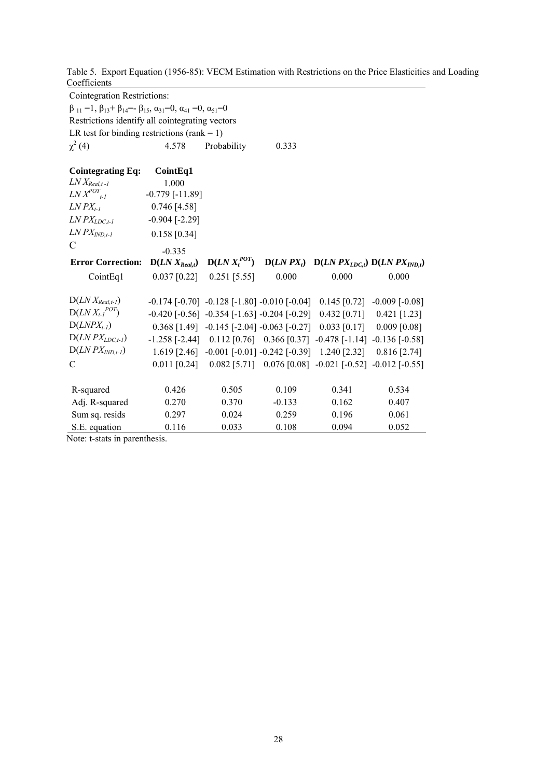Table 5. Export Equation (1956-85): VECM Estimation with Restrictions on the Price Elasticities and Loading Coefficients<sup>1</sup>

| <b>Cointegration Restrictions:</b>                                                                                     |                     |                               |          |                                                                                               |                                                                                         |  |  |  |  |
|------------------------------------------------------------------------------------------------------------------------|---------------------|-------------------------------|----------|-----------------------------------------------------------------------------------------------|-----------------------------------------------------------------------------------------|--|--|--|--|
| $\beta_{11} = 1$ , $\beta_{13} + \beta_{14} = -\beta_{15}$ , $\alpha_{31} = 0$ , $\alpha_{41} = 0$ , $\alpha_{51} = 0$ |                     |                               |          |                                                                                               |                                                                                         |  |  |  |  |
| Restrictions identify all cointegrating vectors                                                                        |                     |                               |          |                                                                                               |                                                                                         |  |  |  |  |
| LR test for binding restrictions (rank = 1)                                                                            |                     |                               |          |                                                                                               |                                                                                         |  |  |  |  |
| $\chi^2$ (4)                                                                                                           | 4.578               | Probability                   | 0.333    |                                                                                               |                                                                                         |  |  |  |  |
| <b>Cointegrating Eq:</b>                                                                                               | CointEq1            |                               |          |                                                                                               |                                                                                         |  |  |  |  |
| $LN X_{Real, t-l}$                                                                                                     | 1.000               |                               |          |                                                                                               |                                                                                         |  |  |  |  |
| $LNX^{POT}$ <sub>t-1</sub>                                                                                             | $-0.779$ $[-11.89]$ |                               |          |                                                                                               |                                                                                         |  |  |  |  |
| $LN$ $PX_{t-l}$                                                                                                        | $0.746$ [4.58]      |                               |          |                                                                                               |                                                                                         |  |  |  |  |
| $LN$ $PX$ <sub><math>LDC,t-1</math></sub>                                                                              | $-0.904$ $[-2.29]$  |                               |          |                                                                                               |                                                                                         |  |  |  |  |
| $LN$ $PX$ <sub><math>IND. t-1</math></sub>                                                                             | $0.158$ [0.34]      |                               |          |                                                                                               |                                                                                         |  |  |  |  |
| C                                                                                                                      | $-0.335$            |                               |          |                                                                                               |                                                                                         |  |  |  |  |
| <b>Error Correction:</b>                                                                                               |                     |                               |          |                                                                                               | $D(LN X_{Real,t})$ $D(LN X_t^{POT})$ $D(LN PX_t)$ $D(LN PX_{LDC,t})$ $D(LN PX_{IND,t})$ |  |  |  |  |
| CointEq1                                                                                                               |                     | $0.037$ [0.22] $0.251$ [5.55] | 0.000    | 0.000                                                                                         | 0.000                                                                                   |  |  |  |  |
| $D(LN X_{Real, t-1})$                                                                                                  |                     |                               |          | $-0.174$ $[-0.70]$ $-0.128$ $[-1.80]$ $-0.010$ $[-0.04]$ $-0.145$ $[0.72]$ $-0.009$ $[-0.08]$ |                                                                                         |  |  |  |  |
| $D(LN X_{t-l}^{POT})$                                                                                                  |                     |                               |          | $-0.420$ $[-0.56]$ $-0.354$ $[-1.63]$ $-0.204$ $[-0.29]$ $-0.432$ $[0.71]$ $-0.421$ $[1.23]$  |                                                                                         |  |  |  |  |
| $D(LNPX_{t-1})$                                                                                                        |                     |                               |          | $0.368$ [1.49] -0.145 [-2.04] -0.063 [-0.27] 0.033 [0.17] 0.009 [0.08]                        |                                                                                         |  |  |  |  |
| $D(LNPX_{LDC,t-1})$                                                                                                    |                     |                               |          | $-1.258$ [ $-2.44$ ] $0.112$ [0.76] $0.366$ [0.37] $-0.478$ [ $-1.14$ ] $-0.136$ [ $-0.58$ ]  |                                                                                         |  |  |  |  |
| $D(LNPX_{IND,t-1})$                                                                                                    |                     |                               |          | 1.619 [2.46] $-0.001$ [ $-0.01$ ] $-0.242$ [ $-0.39$ ] 1.240 [2.32] 0.816 [2.74]              |                                                                                         |  |  |  |  |
| C                                                                                                                      |                     |                               |          | $0.011$ [0.24] $0.082$ [5.71] $0.076$ [0.08] $-0.021$ [ $-0.52$ ] $-0.012$ [ $-0.55$ ]        |                                                                                         |  |  |  |  |
| R-squared                                                                                                              | 0.426               | 0.505                         | 0.109    | 0.341                                                                                         | 0.534                                                                                   |  |  |  |  |
| Adj. R-squared                                                                                                         | 0.270               | 0.370                         | $-0.133$ | 0.162                                                                                         | 0.407                                                                                   |  |  |  |  |
| Sum sq. resids                                                                                                         | 0.297               | 0.024                         | 0.259    | 0.196                                                                                         | 0.061                                                                                   |  |  |  |  |
| S.E. equation                                                                                                          | 0.116               | 0.033                         | 0.108    | 0.094                                                                                         | 0.052                                                                                   |  |  |  |  |

Note: t-stats in parenthesis.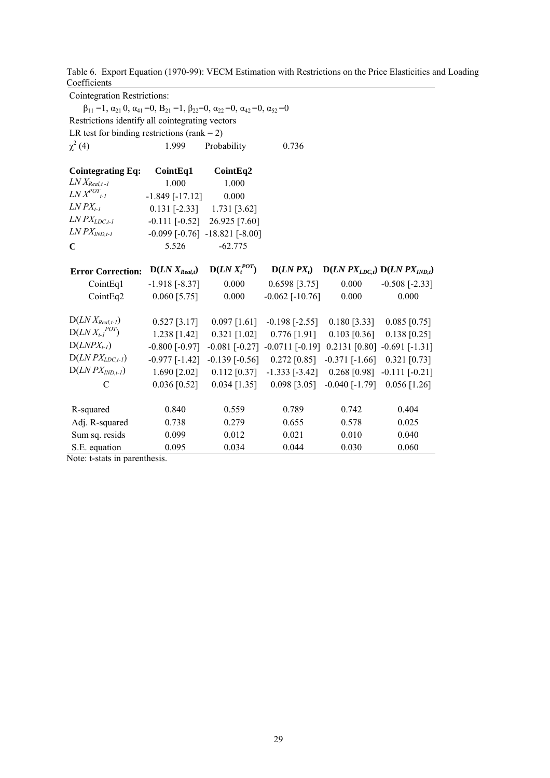Table 6. Export Equation (1970-99): VECM Estimation with Restrictions on the Price Elasticities and Loading Coefficients<sup>1</sup>

| <b>Cointegration Restrictions:</b>              |                                                                                                                                       |                                            |                                                                                                        |                |                                     |
|-------------------------------------------------|---------------------------------------------------------------------------------------------------------------------------------------|--------------------------------------------|--------------------------------------------------------------------------------------------------------|----------------|-------------------------------------|
|                                                 | $\beta_{11} = 1, \alpha_{21} = 0, \alpha_{41} = 0, \beta_{21} = 1, \beta_{22} = 0, \alpha_{22} = 0, \alpha_{42} = 0, \alpha_{52} = 0$ |                                            |                                                                                                        |                |                                     |
| Restrictions identify all cointegrating vectors |                                                                                                                                       |                                            |                                                                                                        |                |                                     |
| LR test for binding restrictions (rank = $2$ )  |                                                                                                                                       |                                            |                                                                                                        |                |                                     |
| $\chi^2$ (4)                                    | 1.999                                                                                                                                 | Probability                                | 0.736                                                                                                  |                |                                     |
| <b>Cointegrating Eq:</b>                        | CointEq1                                                                                                                              | CointEq2                                   |                                                                                                        |                |                                     |
| $LN X_{Real, t-l}$                              | 1.000                                                                                                                                 | 1.000                                      |                                                                                                        |                |                                     |
| $LNX^{POT}$ <sub>t-1</sub>                      | $-1.849$ [ $-17.12$ ]                                                                                                                 | 0.000                                      |                                                                                                        |                |                                     |
| $LN$ $PX_{t-1}$                                 | $0.131$ [-2.33] 1.731 [3.62]                                                                                                          |                                            |                                                                                                        |                |                                     |
| $LN$ $PX$ <sub><math>LDC,t-1</math></sub>       | $-0.111$ $[-0.52]$ 26.925 [7.60]                                                                                                      |                                            |                                                                                                        |                |                                     |
| $LN$ $PX$ <sub><math>IND. t-1</math></sub>      |                                                                                                                                       | $-0.099$ [ $-0.76$ ] $-18.821$ [ $-8.00$ ] |                                                                                                        |                |                                     |
| $\mathbf C$                                     | 5.526                                                                                                                                 | $-62.775$                                  |                                                                                                        |                |                                     |
| <b>Error Correction:</b>                        | $D(LN X_{Real,t})$                                                                                                                    | $D(LN X_t^{POT})$                          | $D(LNPX_t)$                                                                                            |                | $D(LNPX_{LDC,t}) D(LNPX_{IND,t})$   |
| CointEq1                                        | $-1.918$ [ $-8.37$ ]                                                                                                                  | 0.000                                      | $0.6598$ [3.75]                                                                                        | 0.000          | $-0.508$ [-2.33]                    |
| CointEq2                                        | $0.060$ [5.75]                                                                                                                        | 0.000                                      | $-0.062$ [ $-10.76$ ]                                                                                  | 0.000          | 0.000                               |
| $D(LN X_{Real.t-I})$                            | $0.527$ [3.17]                                                                                                                        | $0.097$ [1.61]                             | $-0.198$ [ $-2.55$ ]                                                                                   | $0.180$ [3.33] | $0.085$ [0.75]                      |
| $D(LN X_{t-1}^{POT})$                           | $1.238$ [1.42]                                                                                                                        | $0.321$ [1.02]                             | $0.776$ [1.91]                                                                                         | $0.103$ [0.36] | $0.138$ [0.25]                      |
| $D(LNPX_{t-1})$                                 | $-0.800$ [ $-0.97$ ]                                                                                                                  |                                            | $-0.081$ [ $-0.27$ ] $-0.0711$ [ $-0.19$ ]                                                             |                | $0.2131$ [0.80] -0.691 [-1.31]      |
| $D(LNPX_{LDC,t-1})$                             |                                                                                                                                       |                                            | $-0.977$ [ $-1.42$ ] $-0.139$ [ $-0.56$ ] $-0.272$ [ $0.85$ ] $-0.371$ [ $-1.66$ ] $-0.321$ [ $0.73$ ] |                |                                     |
| $D(LNPX_{IND,t-1})$                             | 1.690 [2.02]                                                                                                                          | $0.112$ [0.37]                             | $-1.333$ $[-3.42]$                                                                                     |                | $0.268$ [0.98] -0.111 [-0.21]       |
| $\mathcal{C}$                                   | $0.036$ [0.52]                                                                                                                        | $0.034$ [1.35]                             | $0.098$ [3.05]                                                                                         |                | $-0.040$ [ $-1.79$ ] $0.056$ [1.26] |
| R-squared                                       | 0.840                                                                                                                                 | 0.559                                      | 0.789                                                                                                  | 0.742          | 0.404                               |
| Adj. R-squared                                  | 0.738                                                                                                                                 | 0.279                                      | 0.655                                                                                                  | 0.578          | 0.025                               |
| Sum sq. resids                                  | 0.099                                                                                                                                 | 0.012                                      | 0.021                                                                                                  | 0.010          | 0.040                               |
| S.E. equation                                   | 0.095                                                                                                                                 | 0.034                                      | 0.044                                                                                                  | 0.030          | 0.060                               |

Note: t-stats in parenthesis.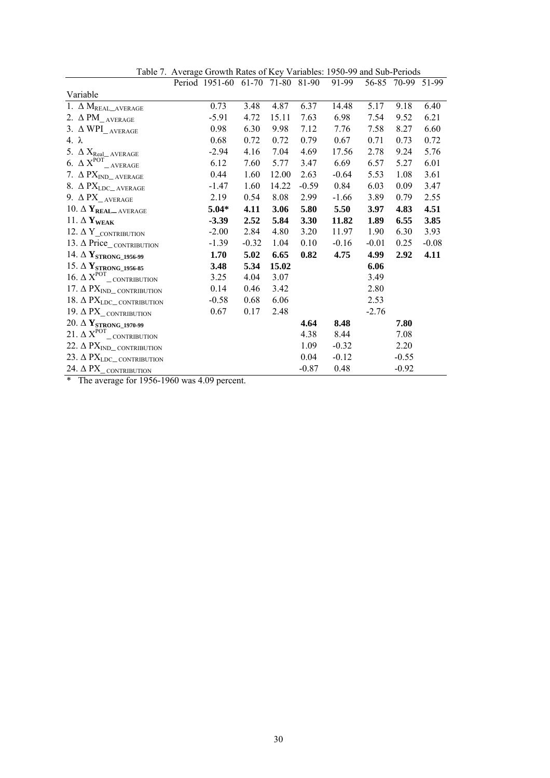|                                                                                                | Period 1951-60 61-70 71-80 81-90 |         |       |         | 91-99   |         | 56-85 70-99 51-99 |         |
|------------------------------------------------------------------------------------------------|----------------------------------|---------|-------|---------|---------|---------|-------------------|---------|
| Variable                                                                                       |                                  |         |       |         |         |         |                   |         |
| $1.~\Delta~M_{REAL\_AVERAGE}$                                                                  | 0.73                             | 3.48    | 4.87  | 6.37    | 14.48   | 5.17    | 9.18              | 6.40    |
| 2. $\Delta$ PM_ $_{\rm AVERAGE}$                                                               | $-5.91$                          | 4.72    | 15.11 | 7.63    | 6.98    | 7.54    | 9.52              | 6.21    |
| 3. $\Delta$ WPI_AVERAGE                                                                        | 0.98                             | 6.30    | 9.98  | 7.12    | 7.76    | 7.58    | 8.27              | 6.60    |
| 4. $\lambda$                                                                                   | 0.68                             | 0.72    | 0.72  | 0.79    | 0.67    | 0.71    | 0.73              | 0.72    |
| 5. $\Delta$ $\rm X_{Real\_AVERAGE}$                                                            | $-2.94$                          | 4.16    | 7.04  | 4.69    | 17.56   | 2.78    | 9.24              | 5.76    |
| 6. $\Delta X^{POT}$ <sub><math>-</math>AVERAGE</sub>                                           | 6.12                             | 7.60    | 5.77  | 3.47    | 6.69    | 6.57    | 5.27              | 6.01    |
| 7. $\Delta$ PX <sub>IND</sub> average                                                          | 0.44                             | 1.60    | 12.00 | 2.63    | $-0.64$ | 5.53    | 1.08              | 3.61    |
| 8. $\Delta$ PX <sub>LDC</sub> _AVERAGE                                                         | $-1.47$                          | 1.60    | 14.22 | $-0.59$ | 0.84    | 6.03    | 0.09              | 3.47    |
| 9. $\Delta$ PX_AVERAGE                                                                         | 2.19                             | 0.54    | 8.08  | 2.99    | $-1.66$ | 3.89    | 0.79              | 2.55    |
| 10. $\Delta$ $\mathbf{Y}_{\text{REAL}\_\text{AVERAGE}}$                                        | $5.04*$                          | 4.11    | 3.06  | 5.80    | 5.50    | 3.97    | 4.83              | 4.51    |
| 11. $\Delta$ Y <sub>WEAK</sub>                                                                 | $-3.39$                          | 2.52    | 5.84  | 3.30    | 11.82   | 1.89    | 6.55              | 3.85    |
| 12. $\Delta$ Y_CONTRIBUTION                                                                    | $-2.00$                          | 2.84    | 4.80  | 3.20    | 11.97   | 1.90    | 6.30              | 3.93    |
| 13. $\Delta$ Price_CONTRIBUTION                                                                | $-1.39$                          | $-0.32$ | 1.04  | 0.10    | $-0.16$ | $-0.01$ | 0.25              | $-0.08$ |
| 14. $\Delta$ Y <sub>STRONG</sub> _1956-99                                                      | 1.70                             | 5.02    | 6.65  | 0.82    | 4.75    | 4.99    | 2.92              | 4.11    |
| 15. $\Delta$ Y <sub>STRONG</sub> _1956-85                                                      | 3.48                             | 5.34    | 15.02 |         |         | 6.06    |                   |         |
| 16. $\Delta$ $X^{POT}$ contribution                                                            | 3.25                             | 4.04    | 3.07  |         |         | 3.49    |                   |         |
| 17. $\Delta$ PX <sub>IND</sub> contribution                                                    | 0.14                             | 0.46    | 3.42  |         |         | 2.80    |                   |         |
| 18. $\Delta$ $\text{PX}_{\text{LDC}\_\text{CONTRIBUTION}}$                                     | $-0.58$                          | 0.68    | 6.06  |         |         | 2.53    |                   |         |
| 19. $\Delta$ PX_contribution                                                                   | 0.67                             | 0.17    | 2.48  |         |         | $-2.76$ |                   |         |
| 20. $\Delta$ Y <sub>STRONG</sub> _1970-99                                                      |                                  |         |       | 4.64    | 8.48    |         | 7.80              |         |
| 21. $\Delta$ $\text{X}^{\text{POT}}_{\hspace{15pt}\text{---}\hspace{15pt}\text{CONTRIBUTION}}$ |                                  |         |       | 4.38    | 8.44    |         | 7.08              |         |
| 22. $\Delta$ PX <sub>IND</sub> contribution                                                    |                                  |         |       | 1.09    | $-0.32$ |         | 2.20              |         |
| 23. $\Delta$ PX <sub>LDC</sub> contribution                                                    |                                  |         |       | 0.04    | $-0.12$ |         | $-0.55$           |         |
| 24. $\Delta$ PX <sub><math>-</math>CONTRIBUTION</sub>                                          |                                  |         |       | $-0.87$ | 0.48    |         | $-0.92$           |         |

Table 7. Average Growth Rates of Key Variables: 1950-99 and Sub-Periods

\* The average for 1956-1960 was 4.09 percent.